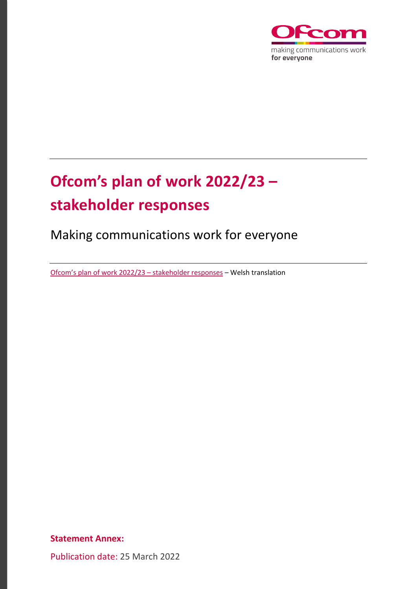

# **Ofcom's plan of work 2022/23 – stakeholder responses**

Making communications work for everyone

[Ofcom's plan of work 2022/23 –](https://www.ofcom.org.uk/__data/assets/pdf_file/0020/234335/Cynllun-Gwaith-Ofcom-2022-23-Ymatebion-ir-ymgynghoriad.pdf) stakeholder responses – Welsh translation

**Statement Annex:**

Publication date: 25 March 2022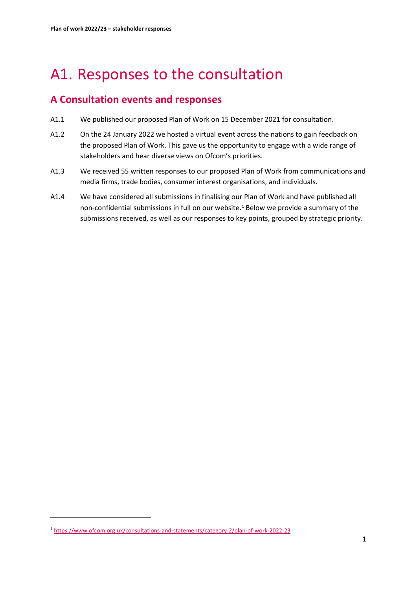# A1. Responses to the consultation

# **A Consultation events and responses**

- A1.1 We published our proposed Plan of Work on 15 December 2021 for consultation.
- A1.2 On the 24 January 2022 we hosted a virtual event across the nations to gain feedback on the proposed Plan of Work. This gave us the opportunity to engage with a wide range of stakeholders and hear diverse views on Ofcom's priorities.
- A1.3 We received 55 written responses to our proposed Plan of Work from communications and media firms, trade bodies, consumer interest organisations, and individuals.
- A1.4 We have considered all submissions in finalising our Plan of Work and have published all non-confidential submissions in full on our website.<sup>[1](#page-1-0)</sup> Below we provide a summary of the submissions received, as well as our responses to key points, grouped by strategic priority.

<span id="page-1-0"></span><sup>1</sup> <https://www.ofcom.org.uk/consultations-and-statements/category-2/plan-of-work-2022-23>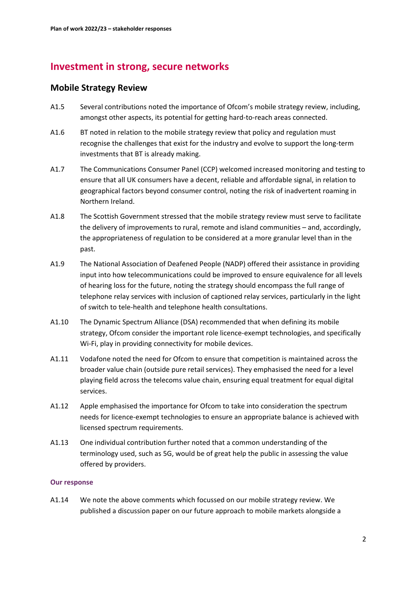# **Investment in strong, secure networks**

# **Mobile Strategy Review**

- A1.5 Several contributions noted the importance of Ofcom's mobile strategy review, including, amongst other aspects, its potential for getting hard-to-reach areas connected.
- A1.6 BT noted in relation to the mobile strategy review that policy and regulation must recognise the challenges that exist for the industry and evolve to support the long-term investments that BT is already making.
- A1.7 The Communications Consumer Panel (CCP) welcomed increased monitoring and testing to ensure that all UK consumers have a decent, reliable and affordable signal, in relation to geographical factors beyond consumer control, noting the risk of inadvertent roaming in Northern Ireland.
- A1.8 The Scottish Government stressed that the mobile strategy review must serve to facilitate the delivery of improvements to rural, remote and island communities – and, accordingly, the appropriateness of regulation to be considered at a more granular level than in the past.
- A1.9 The National Association of Deafened People (NADP) offered their assistance in providing input into how telecommunications could be improved to ensure equivalence for all levels of hearing loss for the future, noting the strategy should encompass the full range of telephone relay services with inclusion of captioned relay services, particularly in the light of switch to tele-health and telephone health consultations.
- A1.10 The Dynamic Spectrum Alliance (DSA) recommended that when defining its mobile strategy, Ofcom consider the important role licence-exempt technologies, and specifically Wi-Fi, play in providing connectivity for mobile devices.
- A1.11 Vodafone noted the need for Ofcom to ensure that competition is maintained across the broader value chain (outside pure retail services). They emphasised the need for a level playing field across the telecoms value chain, ensuring equal treatment for equal digital services.
- A1.12 Apple emphasised the importance for Ofcom to take into consideration the spectrum needs for licence-exempt technologies to ensure an appropriate balance is achieved with licensed spectrum requirements.
- A1.13 One individual contribution further noted that a common understanding of the terminology used, such as 5G, would be of great help the public in assessing the value offered by providers.

### **Our response**

A1.14 We note the above comments which focussed on our mobile strategy review. We published a discussion paper on our future approach to mobile markets alongside a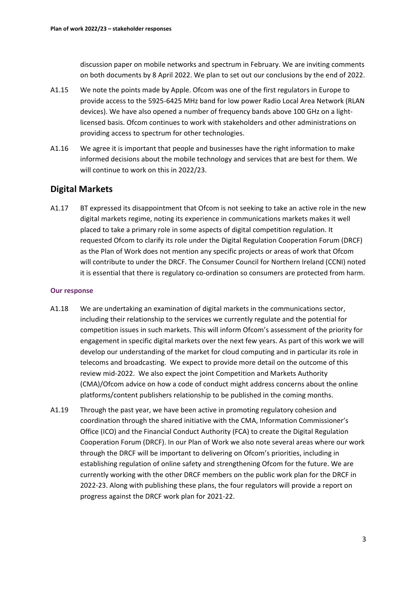discussion paper on mobile networks and spectrum in February. We are inviting comments on both documents by 8 April 2022. We plan to set out our conclusions by the end of 2022.

- A1.15 We note the points made by Apple. Ofcom was one of the first regulators in Europe to provide access to the 5925-6425 MHz band for low power Radio Local Area Network (RLAN devices). We have also opened a number of frequency bands above 100 GHz on a lightlicensed basis. Ofcom continues to work with stakeholders and other administrations on providing access to spectrum for other technologies.
- A1.16 We agree it is important that people and businesses have the right information to make informed decisions about the mobile technology and services that are best for them. We will continue to work on this in 2022/23.

# **Digital Markets**

A1.17 BT expressed its disappointment that Ofcom is not seeking to take an active role in the new digital markets regime, noting its experience in communications markets makes it well placed to take a primary role in some aspects of digital competition regulation. It requested Ofcom to clarify its role under the Digital Regulation Cooperation Forum (DRCF) as the Plan of Work does not mention any specific projects or areas of work that Ofcom will contribute to under the DRCF. The Consumer Council for Northern Ireland (CCNI) noted it is essential that there is regulatory co-ordination so consumers are protected from harm.

- A1.18 We are undertaking an examination of digital markets in the communications sector, including their relationship to the services we currently regulate and the potential for competition issues in such markets. This will inform Ofcom's assessment of the priority for engagement in specific digital markets over the next few years. As part of this work we will develop our understanding of the market for cloud computing and in particular its role in telecoms and broadcasting. We expect to provide more detail on the outcome of this review mid-2022. We also expect the joint Competition and Markets Authority (CMA)/Ofcom advice on how a code of conduct might address concerns about the online platforms/content publishers relationship to be published in the coming months.
- A1.19 Through the past year, we have been active in promoting regulatory cohesion and coordination through the shared initiative with the CMA, Information Commissioner's Office (ICO) and the Financial Conduct Authority (FCA) to create the Digital Regulation Cooperation Forum (DRCF). In our Plan of Work we also note several areas where our work through the DRCF will be important to delivering on Ofcom's priorities, including in establishing regulation of online safety and strengthening Ofcom for the future. We are currently working with the other DRCF members on the public work plan for the DRCF in 2022-23. Along with publishing these plans, the four regulators will provide a report on progress against the DRCF work plan for 2021-22.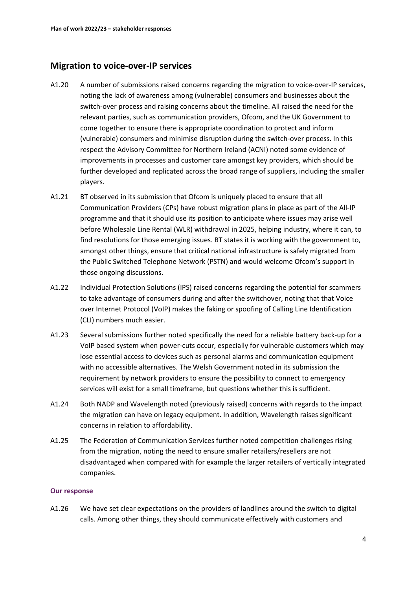# **Migration to voice-over-IP services**

- A1.20 A number of submissions raised concerns regarding the migration to voice-over-IP services, noting the lack of awareness among (vulnerable) consumers and businesses about the switch-over process and raising concerns about the timeline. All raised the need for the relevant parties, such as communication providers, Ofcom, and the UK Government to come together to ensure there is appropriate coordination to protect and inform (vulnerable) consumers and minimise disruption during the switch-over process. In this respect the Advisory Committee for Northern Ireland (ACNI) noted some evidence of improvements in processes and customer care amongst key providers, which should be further developed and replicated across the broad range of suppliers, including the smaller players.
- A1.21 BT observed in its submission that Ofcom is uniquely placed to ensure that all Communication Providers (CPs) have robust migration plans in place as part of the All-IP programme and that it should use its position to anticipate where issues may arise well before Wholesale Line Rental (WLR) withdrawal in 2025, helping industry, where it can, to find resolutions for those emerging issues. BT states it is working with the government to, amongst other things, ensure that critical national infrastructure is safely migrated from the Public Switched Telephone Network (PSTN) and would welcome Ofcom's support in those ongoing discussions.
- A1.22 Individual Protection Solutions (IPS) raised concerns regarding the potential for scammers to take advantage of consumers during and after the switchover, noting that that Voice over Internet Protocol (VoIP) makes the faking or spoofing of Calling Line Identification (CLI) numbers much easier.
- A1.23 Several submissions further noted specifically the need for a reliable battery back-up for a VoIP based system when power-cuts occur, especially for vulnerable customers which may lose essential access to devices such as personal alarms and communication equipment with no accessible alternatives. The Welsh Government noted in its submission the requirement by network providers to ensure the possibility to connect to emergency services will exist for a small timeframe, but questions whether this is sufficient.
- A1.24 Both NADP and Wavelength noted (previously raised) concerns with regards to the impact the migration can have on legacy equipment. In addition, Wavelength raises significant concerns in relation to affordability.
- A1.25 The Federation of Communication Services further noted competition challenges rising from the migration, noting the need to ensure smaller retailers/resellers are not disadvantaged when compared with for example the larger retailers of vertically integrated companies.

### **Our response**

A1.26 We have set clear expectations on the providers of landlines around the switch to digital calls. Among other things, they should communicate effectively with customers and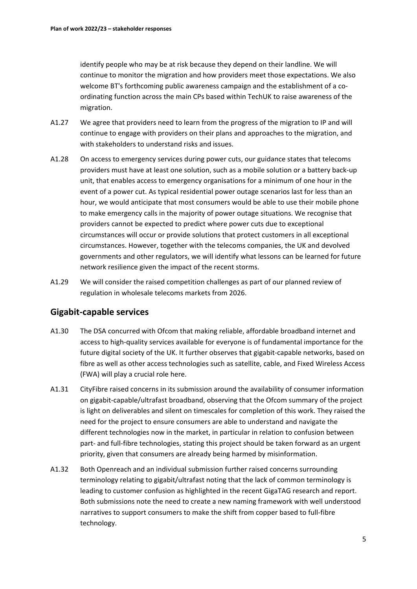identify people who may be at risk because they depend on their landline. We will continue to monitor the migration and how providers meet those expectations. We also welcome BT's forthcoming public awareness campaign and the establishment of a coordinating function across the main CPs based within TechUK to raise awareness of the migration.

- A1.27 We agree that providers need to learn from the progress of the migration to IP and will continue to engage with providers on their plans and approaches to the migration, and with stakeholders to understand risks and issues.
- A1.28 On access to emergency services during power cuts, our guidance states that telecoms providers must have at least one solution, such as a mobile solution or a battery back-up unit, that enables access to emergency organisations for a minimum of one hour in the event of a power cut. As typical residential power outage scenarios last for less than an hour, we would anticipate that most consumers would be able to use their mobile phone to make emergency calls in the majority of power outage situations. We recognise that providers cannot be expected to predict where power cuts due to exceptional circumstances will occur or provide solutions that protect customers in all exceptional circumstances. However, together with the telecoms companies, the UK and devolved governments and other regulators, we will identify what lessons can be learned for future network resilience given the impact of the recent storms.
- A1.29 We will consider the raised competition challenges as part of our planned review of regulation in wholesale telecoms markets from 2026.

# **Gigabit-capable services**

- A1.30 The DSA concurred with Ofcom that making reliable, affordable broadband internet and access to high-quality services available for everyone is of fundamental importance for the future digital society of the UK. It further observes that gigabit-capable networks, based on fibre as well as other access technologies such as satellite, cable, and Fixed Wireless Access (FWA) will play a crucial role here.
- A1.31 CityFibre raised concerns in its submission around the availability of consumer information on gigabit-capable/ultrafast broadband, observing that the Ofcom summary of the project is light on deliverables and silent on timescales for completion of this work. They raised the need for the project to ensure consumers are able to understand and navigate the different technologies now in the market, in particular in relation to confusion between part- and full-fibre technologies, stating this project should be taken forward as an urgent priority, given that consumers are already being harmed by misinformation.
- A1.32 Both Openreach and an individual submission further raised concerns surrounding terminology relating to gigabit/ultrafast noting that the lack of common terminology is leading to customer confusion as highlighted in the recent GigaTAG research and report. Both submissions note the need to create a new naming framework with well understood narratives to support consumers to make the shift from copper based to full-fibre technology.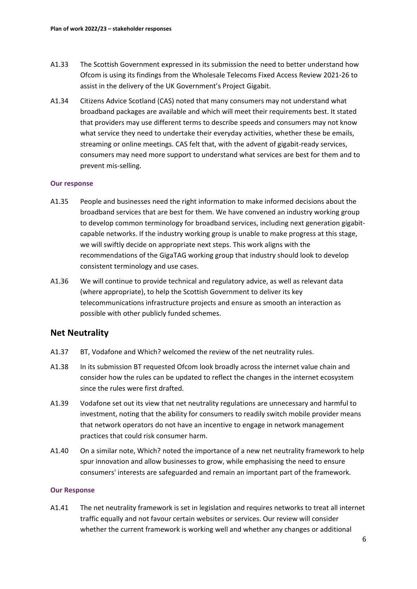- A1.33 The Scottish Government expressed in its submission the need to better understand how Ofcom is using its findings from the Wholesale Telecoms Fixed Access Review 2021-26 to assist in the delivery of the UK Government's Project Gigabit.
- A1.34 Citizens Advice Scotland (CAS) noted that many consumers may not understand what broadband packages are available and which will meet their requirements best. It stated that providers may use different terms to describe speeds and consumers may not know what service they need to undertake their everyday activities, whether these be emails, streaming or online meetings. CAS felt that, with the advent of gigabit-ready services, consumers may need more support to understand what services are best for them and to prevent mis-selling.

### **Our response**

- A1.35 People and businesses need the right information to make informed decisions about the broadband services that are best for them. We have convened an industry working group to develop common terminology for broadband services, including next generation gigabitcapable networks. If the industry working group is unable to make progress at this stage, we will swiftly decide on appropriate next steps. This work aligns with the recommendations of the GigaTAG working group that industry should look to develop consistent terminology and use cases.
- A1.36 We will continue to provide technical and regulatory advice, as well as relevant data (where appropriate), to help the Scottish Government to deliver its key telecommunications infrastructure projects and ensure as smooth an interaction as possible with other publicly funded schemes.

## **Net Neutrality**

- A1.37 BT, Vodafone and Which? welcomed the review of the net neutrality rules.
- A1.38 In its submission BT requested Ofcom look broadly across the internet value chain and consider how the rules can be updated to reflect the changes in the internet ecosystem since the rules were first drafted.
- A1.39 Vodafone set out its view that net neutrality regulations are unnecessary and harmful to investment, noting that the ability for consumers to readily switch mobile provider means that network operators do not have an incentive to engage in network management practices that could risk consumer harm.
- A1.40 On a similar note, Which? noted the importance of a new net neutrality framework to help spur innovation and allow businesses to grow, while emphasising the need to ensure consumers' interests are safeguarded and remain an important part of the framework.

### **Our Response**

A1.41 The net neutrality framework is set in legislation and requires networks to treat all internet traffic equally and not favour certain websites or services. Our review will consider whether the current framework is working well and whether any changes or additional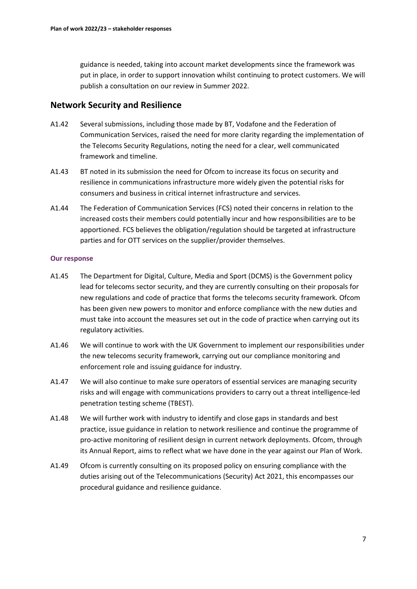guidance is needed, taking into account market developments since the framework was put in place, in order to support innovation whilst continuing to protect customers. We will publish a consultation on our review in Summer 2022.

### **Network Security and Resilience**

- A1.42 Several submissions, including those made by BT, Vodafone and the Federation of Communication Services, raised the need for more clarity regarding the implementation of the Telecoms Security Regulations, noting the need for a clear, well communicated framework and timeline.
- A1.43 BT noted in its submission the need for Ofcom to increase its focus on security and resilience in communications infrastructure more widely given the potential risks for consumers and business in critical internet infrastructure and services.
- A1.44 The Federation of Communication Services (FCS) noted their concerns in relation to the increased costs their members could potentially incur and how responsibilities are to be apportioned. FCS believes the obligation/regulation should be targeted at infrastructure parties and for OTT services on the supplier/provider themselves.

- A1.45 The Department for Digital, Culture, Media and Sport (DCMS) is the Government policy lead for telecoms sector security, and they are currently consulting on their proposals for new regulations and code of practice that forms the telecoms security framework. Ofcom has been given new powers to monitor and enforce compliance with the new duties and must take into account the measures set out in the code of practice when carrying out its regulatory activities.
- A1.46 We will continue to work with the UK Government to implement our responsibilities under the new telecoms security framework, carrying out our compliance monitoring and enforcement role and issuing guidance for industry.
- A1.47 We will also continue to make sure operators of essential services are managing security risks and will engage with communications providers to carry out a threat intelligence-led penetration testing scheme (TBEST).
- A1.48 We will further work with industry to identify and close gaps in standards and best practice, issue guidance in relation to network resilience and continue the programme of pro-active monitoring of resilient design in current network deployments. Ofcom, through its Annual Report, aims to reflect what we have done in the year against our Plan of Work.
- A1.49 Ofcom is currently consulting on its proposed policy on ensuring compliance with the duties arising out of the Telecommunications (Security) Act 2021, this encompasses our procedural guidance and resilience guidance.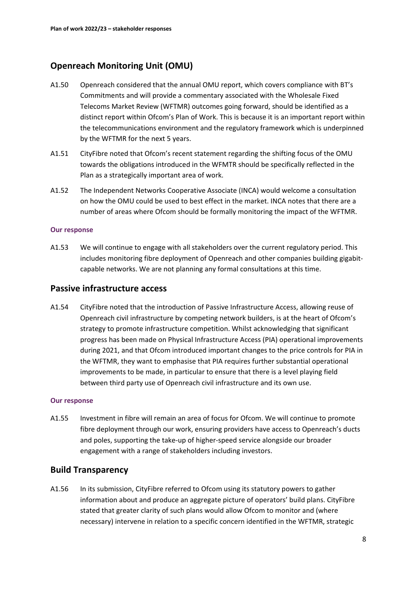# **Openreach Monitoring Unit (OMU)**

- A1.50 Openreach considered that the annual OMU report, which covers compliance with BT's Commitments and will provide a commentary associated with the Wholesale Fixed Telecoms Market Review (WFTMR) outcomes going forward, should be identified as a distinct report within Ofcom's Plan of Work. This is because it is an important report within the telecommunications environment and the regulatory framework which is underpinned by the WFTMR for the next 5 years.
- A1.51 CityFibre noted that Ofcom's recent statement regarding the shifting focus of the OMU towards the obligations introduced in the WFMTR should be specifically reflected in the Plan as a strategically important area of work.
- A1.52 The Independent Networks Cooperative Associate (INCA) would welcome a consultation on how the OMU could be used to best effect in the market. INCA notes that there are a number of areas where Ofcom should be formally monitoring the impact of the WFTMR.

### **Our response**

A1.53 We will continue to engage with all stakeholders over the current regulatory period. This includes monitoring fibre deployment of Openreach and other companies building gigabitcapable networks. We are not planning any formal consultations at this time.

### **Passive infrastructure access**

A1.54 CityFibre noted that the introduction of Passive Infrastructure Access, allowing reuse of Openreach civil infrastructure by competing network builders, is at the heart of Ofcom's strategy to promote infrastructure competition. Whilst acknowledging that significant progress has been made on Physical Infrastructure Access (PIA) operational improvements during 2021, and that Ofcom introduced important changes to the price controls for PIA in the WFTMR, they want to emphasise that PIA requires further substantial operational improvements to be made, in particular to ensure that there is a level playing field between third party use of Openreach civil infrastructure and its own use.

### **Our response**

A1.55 Investment in fibre will remain an area of focus for Ofcom. We will continue to promote fibre deployment through our work, ensuring providers have access to Openreach's ducts and poles, supporting the take-up of higher-speed service alongside our broader engagement with a range of stakeholders including investors.

# **Build Transparency**

A1.56 In its submission, CityFibre referred to Ofcom using its statutory powers to gather information about and produce an aggregate picture of operators' build plans. CityFibre stated that greater clarity of such plans would allow Ofcom to monitor and (where necessary) intervene in relation to a specific concern identified in the WFTMR, strategic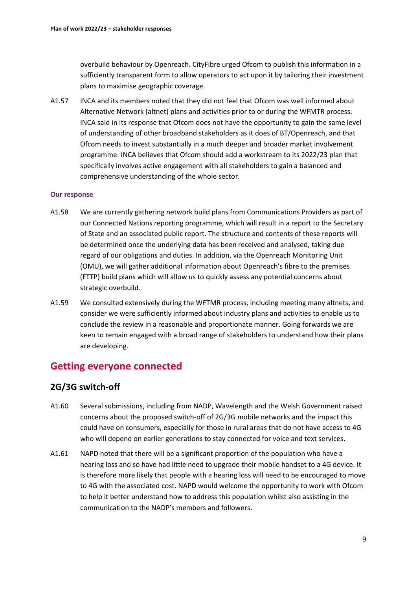overbuild behaviour by Openreach. CityFibre urged Ofcom to publish this information in a sufficiently transparent form to allow operators to act upon it by tailoring their investment plans to maximise geographic coverage.

A1.57 INCA and its members noted that they did not feel that Ofcom was well informed about Alternative Network (altnet) plans and activities prior to or during the WFMTR process. INCA said in its response that Ofcom does not have the opportunity to gain the same level of understanding of other broadband stakeholders as it does of BT/Openreach, and that Ofcom needs to invest substantially in a much deeper and broader market involvement programme. INCA believes that Ofcom should add a workstream to its 2022/23 plan that specifically involves active engagement with all stakeholders to gain a balanced and comprehensive understanding of the whole sector.

### **Our response**

- A1.58 We are currently gathering network build plans from Communications Providers as part of our Connected Nations reporting programme, which will result in a report to the Secretary of State and an associated public report. The structure and contents of these reports will be determined once the underlying data has been received and analysed, taking due regard of our obligations and duties. In addition, via the Openreach Monitoring Unit (OMU), we will gather additional information about Openreach's fibre to the premises (FTTP) build plans which will allow us to quickly assess any potential concerns about strategic overbuild.
- A1.59 We consulted extensively during the WFTMR process, including meeting many altnets, and consider we were sufficiently informed about industry plans and activities to enable us to conclude the review in a reasonable and proportionate manner. Going forwards we are keen to remain engaged with a broad range of stakeholders to understand how their plans are developing.

# **Getting everyone connected**

### **2G/3G switch-off**

- A1.60 Several submissions, including from NADP, Wavelength and the Welsh Government raised concerns about the proposed switch-off of 2G/3G mobile networks and the impact this could have on consumers, especially for those in rural areas that do not have access to 4G who will depend on earlier generations to stay connected for voice and text services.
- A1.61 NAPD noted that there will be a significant proportion of the population who have a hearing loss and so have had little need to upgrade their mobile handset to a 4G device. It is therefore more likely that people with a hearing loss will need to be encouraged to move to 4G with the associated cost. NAPD would welcome the opportunity to work with Ofcom to help it better understand how to address this population whilst also assisting in the communication to the NADP's members and followers.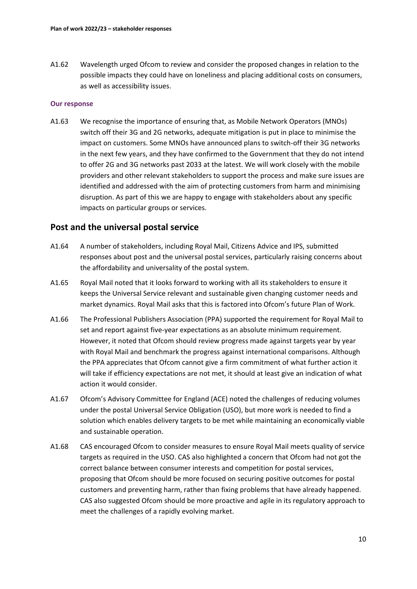A1.62 Wavelength urged Ofcom to review and consider the proposed changes in relation to the possible impacts they could have on loneliness and placing additional costs on consumers, as well as accessibility issues.

### **Our response**

A1.63 We recognise the importance of ensuring that, as Mobile Network Operators (MNOs) switch off their 3G and 2G networks, adequate mitigation is put in place to minimise the impact on customers. Some MNOs have announced plans to switch-off their 3G networks in the next few years, and they have confirmed to the Government that they do not intend to offer 2G and 3G networks past 2033 at the latest. We will work closely with the mobile providers and other relevant stakeholders to support the process and make sure issues are identified and addressed with the aim of protecting customers from harm and minimising disruption. As part of this we are happy to engage with stakeholders about any specific impacts on particular groups or services.

# **Post and the universal postal service**

- A1.64 A number of stakeholders, including Royal Mail, Citizens Advice and IPS, submitted responses about post and the universal postal services, particularly raising concerns about the affordability and universality of the postal system.
- A1.65 Royal Mail noted that it looks forward to working with all its stakeholders to ensure it keeps the Universal Service relevant and sustainable given changing customer needs and market dynamics. Royal Mail asks that this is factored into Ofcom's future Plan of Work.
- A1.66 The Professional Publishers Association (PPA) supported the requirement for Royal Mail to set and report against five-year expectations as an absolute minimum requirement. However, it noted that Ofcom should review progress made against targets year by year with Royal Mail and benchmark the progress against international comparisons. Although the PPA appreciates that Ofcom cannot give a firm commitment of what further action it will take if efficiency expectations are not met, it should at least give an indication of what action it would consider.
- A1.67 Ofcom's Advisory Committee for England (ACE) noted the challenges of reducing volumes under the postal Universal Service Obligation (USO), but more work is needed to find a solution which enables delivery targets to be met while maintaining an economically viable and sustainable operation.
- A1.68 CAS encouraged Ofcom to consider measures to ensure Royal Mail meets quality of service targets as required in the USO. CAS also highlighted a concern that Ofcom had not got the correct balance between consumer interests and competition for postal services, proposing that Ofcom should be more focused on securing positive outcomes for postal customers and preventing harm, rather than fixing problems that have already happened. CAS also suggested Ofcom should be more proactive and agile in its regulatory approach to meet the challenges of a rapidly evolving market.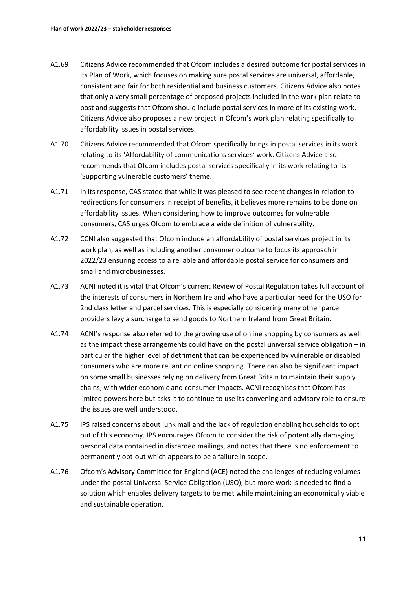- A1.69 Citizens Advice recommended that Ofcom includes a desired outcome for postal services in its Plan of Work, which focuses on making sure postal services are universal, affordable, consistent and fair for both residential and business customers. Citizens Advice also notes that only a very small percentage of proposed projects included in the work plan relate to post and suggests that Ofcom should include postal services in more of its existing work. Citizens Advice also proposes a new project in Ofcom's work plan relating specifically to affordability issues in postal services.
- A1.70 Citizens Advice recommended that Ofcom specifically brings in postal services in its work relating to its 'Affordability of communications services' work. Citizens Advice also recommends that Ofcom includes postal services specifically in its work relating to its 'Supporting vulnerable customers' theme.
- A1.71 In its response, CAS stated that while it was pleased to see recent changes in relation to redirections for consumers in receipt of benefits, it believes more remains to be done on affordability issues. When considering how to improve outcomes for vulnerable consumers, CAS urges Ofcom to embrace a wide definition of vulnerability.
- A1.72 CCNI also suggested that Ofcom include an affordability of postal services project in its work plan, as well as including another consumer outcome to focus its approach in 2022/23 ensuring access to a reliable and affordable postal service for consumers and small and microbusinesses.
- A1.73 ACNI noted it is vital that Ofcom's current Review of Postal Regulation takes full account of the interests of consumers in Northern Ireland who have a particular need for the USO for 2nd class letter and parcel services. This is especially considering many other parcel providers levy a surcharge to send goods to Northern Ireland from Great Britain.
- A1.74 ACNI's response also referred to the growing use of online shopping by consumers as well as the impact these arrangements could have on the postal universal service obligation – in particular the higher level of detriment that can be experienced by vulnerable or disabled consumers who are more reliant on online shopping. There can also be significant impact on some small businesses relying on delivery from Great Britain to maintain their supply chains, with wider economic and consumer impacts. ACNI recognises that Ofcom has limited powers here but asks it to continue to use its convening and advisory role to ensure the issues are well understood.
- A1.75 IPS raised concerns about junk mail and the lack of regulation enabling households to opt out of this economy. IPS encourages Ofcom to consider the risk of potentially damaging personal data contained in discarded mailings, and notes that there is no enforcement to permanently opt-out which appears to be a failure in scope.
- A1.76 Ofcom's Advisory Committee for England (ACE) noted the challenges of reducing volumes under the postal Universal Service Obligation (USO), but more work is needed to find a solution which enables delivery targets to be met while maintaining an economically viable and sustainable operation.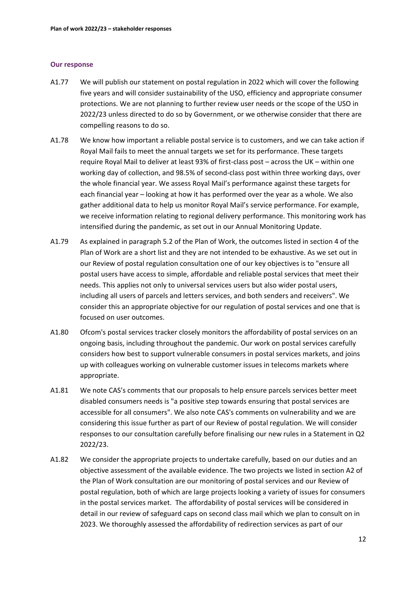- A1.77 We will publish our statement on postal regulation in 2022 which will cover the following five years and will consider sustainability of the USO, efficiency and appropriate consumer protections. We are not planning to further review user needs or the scope of the USO in 2022/23 unless directed to do so by Government, or we otherwise consider that there are compelling reasons to do so.
- A1.78 We know how important a reliable postal service is to customers, and we can take action if Royal Mail fails to meet the annual targets we set for its performance. These targets require Royal Mail to deliver at least 93% of first-class post – across the UK – within one working day of collection, and 98.5% of second-class post within three working days, over the whole financial year. We assess Royal Mail's performance against these targets for each financial year – looking at how it has performed over the year as a whole. We also gather additional data to help us monitor Royal Mail's service performance. For example, we receive information relating to regional delivery performance. This monitoring work has intensified during the pandemic, as set out in our Annual Monitoring Update.
- A1.79 As explained in paragraph 5.2 of the Plan of Work, the outcomes listed in section 4 of the Plan of Work are a short list and they are not intended to be exhaustive. As we set out in our Review of postal regulation consultation one of our key objectives is to "ensure all postal users have access to simple, affordable and reliable postal services that meet their needs. This applies not only to universal services users but also wider postal users, including all users of parcels and letters services, and both senders and receivers". We consider this an appropriate objective for our regulation of postal services and one that is focused on user outcomes.
- A1.80 Ofcom's postal services tracker closely monitors the affordability of postal services on an ongoing basis, including throughout the pandemic. Our work on postal services carefully considers how best to support vulnerable consumers in postal services markets, and joins up with colleagues working on vulnerable customer issues in telecoms markets where appropriate.
- A1.81 We note CAS's comments that our proposals to help ensure parcels services better meet disabled consumers needs is "a positive step towards ensuring that postal services are accessible for all consumers". We also note CAS's comments on vulnerability and we are considering this issue further as part of our Review of postal regulation. We will consider responses to our consultation carefully before finalising our new rules in a Statement in Q2 2022/23.
- A1.82 We consider the appropriate projects to undertake carefully, based on our duties and an objective assessment of the available evidence. The two projects we listed in section A2 of the Plan of Work consultation are our monitoring of postal services and our Review of postal regulation, both of which are large projects looking a variety of issues for consumers in the postal services market. The affordability of postal services will be considered in detail in our review of safeguard caps on second class mail which we plan to consult on in 2023. We thoroughly assessed the affordability of redirection services as part of our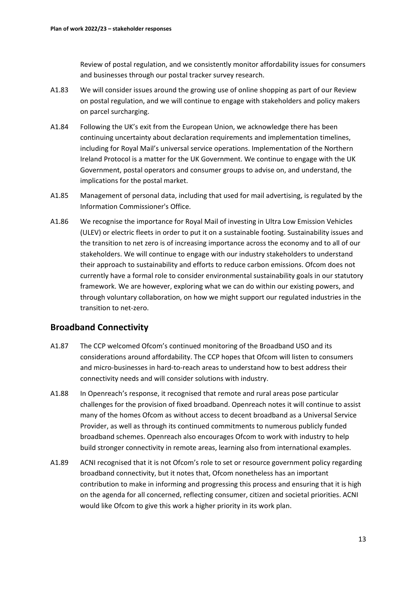Review of postal regulation, and we consistently monitor affordability issues for consumers and businesses through our postal tracker survey research.

- A1.83 We will consider issues around the growing use of online shopping as part of our Review on postal regulation, and we will continue to engage with stakeholders and policy makers on parcel surcharging.
- A1.84 Following the UK's exit from the European Union, we acknowledge there has been continuing uncertainty about declaration requirements and implementation timelines, including for Royal Mail's universal service operations. Implementation of the Northern Ireland Protocol is a matter for the UK Government. We continue to engage with the UK Government, postal operators and consumer groups to advise on, and understand, the implications for the postal market.
- A1.85 Management of personal data, including that used for mail advertising, is regulated by the Information Commissioner's Office.
- A1.86 We recognise the importance for Royal Mail of investing in Ultra Low Emission Vehicles (ULEV) or electric fleets in order to put it on a sustainable footing. Sustainability issues and the transition to net zero is of increasing importance across the economy and to all of our stakeholders. We will continue to engage with our industry stakeholders to understand their approach to sustainability and efforts to reduce carbon emissions. Ofcom does not currently have a formal role to consider environmental sustainability goals in our statutory framework. We are however, exploring what we can do within our existing powers, and through voluntary collaboration, on how we might support our regulated industries in the transition to net-zero.

### **Broadband Connectivity**

- A1.87 The CCP welcomed Ofcom's continued monitoring of the Broadband USO and its considerations around affordability. The CCP hopes that Ofcom will listen to consumers and micro-businesses in hard-to-reach areas to understand how to best address their connectivity needs and will consider solutions with industry.
- A1.88 In Openreach's response, it recognised that remote and rural areas pose particular challenges for the provision of fixed broadband. Openreach notes it will continue to assist many of the homes Ofcom as without access to decent broadband as a Universal Service Provider, as well as through its continued commitments to numerous publicly funded broadband schemes. Openreach also encourages Ofcom to work with industry to help build stronger connectivity in remote areas, learning also from international examples.
- A1.89 ACNI recognised that it is not Ofcom's role to set or resource government policy regarding broadband connectivity, but it notes that, Ofcom nonetheless has an important contribution to make in informing and progressing this process and ensuring that it is high on the agenda for all concerned, reflecting consumer, citizen and societal priorities. ACNI would like Ofcom to give this work a higher priority in its work plan.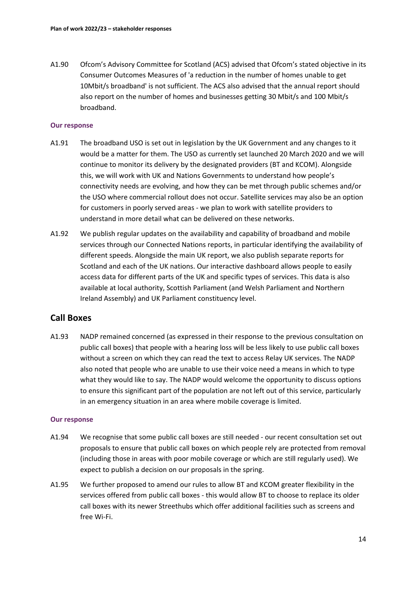A1.90 Ofcom's Advisory Committee for Scotland (ACS) advised that Ofcom's stated objective in its Consumer Outcomes Measures of 'a reduction in the number of homes unable to get 10Mbit/s broadband' is not sufficient. The ACS also advised that the annual report should also report on the number of homes and businesses getting 30 Mbit/s and 100 Mbit/s broadband.

### **Our response**

- A1.91 The broadband USO is set out in legislation by the UK Government and any changes to it would be a matter for them. The USO as currently set launched 20 March 2020 and we will continue to monitor its delivery by the designated providers (BT and KCOM). Alongside this, we will work with UK and Nations Governments to understand how people's connectivity needs are evolving, and how they can be met through public schemes and/or the USO where commercial rollout does not occur. Satellite services may also be an option for customers in poorly served areas - we plan to work with satellite providers to understand in more detail what can be delivered on these networks.
- A1.92 We publish regular updates on the availability and capability of broadband and mobile services through our Connected Nations reports, in particular identifying the availability of different speeds. Alongside the main UK report, we also publish separate reports for Scotland and each of the UK nations. Our interactive dashboard allows people to easily access data for different parts of the UK and specific types of services. This data is also available at local authority, Scottish Parliament (and Welsh Parliament and Northern Ireland Assembly) and UK Parliament constituency level.

# **Call Boxes**

A1.93 NADP remained concerned (as expressed in their response to the previous consultation on public call boxes) that people with a hearing loss will be less likely to use public call boxes without a screen on which they can read the text to access Relay UK services. The NADP also noted that people who are unable to use their voice need a means in which to type what they would like to say. The NADP would welcome the opportunity to discuss options to ensure this significant part of the population are not left out of this service, particularly in an emergency situation in an area where mobile coverage is limited.

- A1.94 We recognise that some public call boxes are still needed our recent consultation set out proposals to ensure that public call boxes on which people rely are protected from removal (including those in areas with poor mobile coverage or which are still regularly used). We expect to publish a decision on our proposals in the spring.
- A1.95 We further proposed to amend our rules to allow BT and KCOM greater flexibility in the services offered from public call boxes - this would allow BT to choose to replace its older call boxes with its newer Streethubs which offer additional facilities such as screens and free Wi-Fi.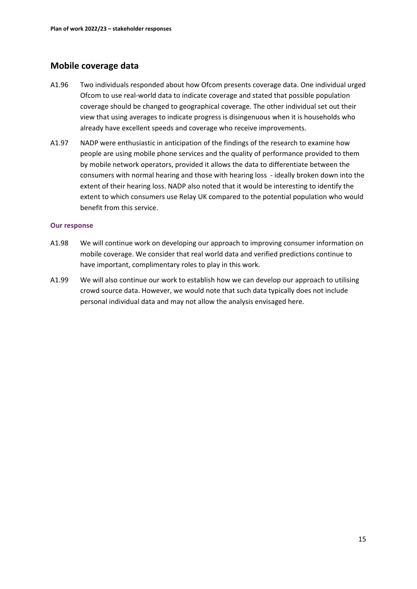# **Mobile coverage data**

- A1.96 Two individuals responded about how Ofcom presents coverage data. One individual urged Ofcom to use real-world data to indicate coverage and stated that possible population coverage should be changed to geographical coverage. The other individual set out their view that using averages to indicate progress is disingenuous when it is households who already have excellent speeds and coverage who receive improvements.
- A1.97 NADP were enthusiastic in anticipation of the findings of the research to examine how people are using mobile phone services and the quality of performance provided to them by mobile network operators, provided it allows the data to differentiate between the consumers with normal hearing and those with hearing loss - ideally broken down into the extent of their hearing loss. NADP also noted that it would be interesting to identify the extent to which consumers use Relay UK compared to the potential population who would benefit from this service.

- A1.98 We will continue work on developing our approach to improving consumer information on mobile coverage. We consider that real world data and verified predictions continue to have important, complimentary roles to play in this work.
- A1.99 We will also continue our work to establish how we can develop our approach to utilising crowd source data. However, we would note that such data typically does not include personal individual data and may not allow the analysis envisaged here.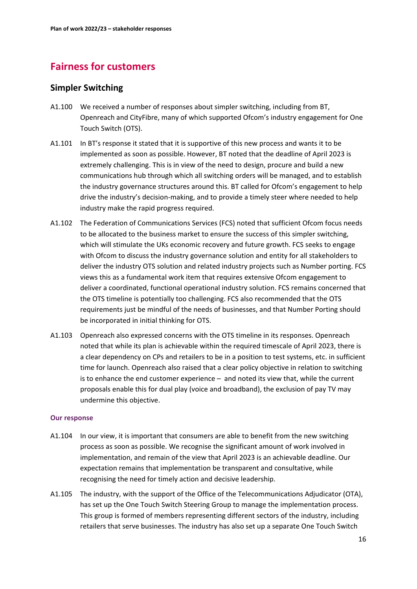# **Fairness for customers**

# **Simpler Switching**

- A1.100 We received a number of responses about simpler switching, including from BT, Openreach and CityFibre, many of which supported Ofcom's industry engagement for One Touch Switch (OTS).
- A1.101 In BT's response it stated that it is supportive of this new process and wants it to be implemented as soon as possible. However, BT noted that the deadline of April 2023 is extremely challenging. This is in view of the need to design, procure and build a new communications hub through which all switching orders will be managed, and to establish the industry governance structures around this. BT called for Ofcom's engagement to help drive the industry's decision-making, and to provide a timely steer where needed to help industry make the rapid progress required.
- A1.102 The Federation of Communications Services (FCS) noted that sufficient Ofcom focus needs to be allocated to the business market to ensure the success of this simpler switching, which will stimulate the UKs economic recovery and future growth. FCS seeks to engage with Ofcom to discuss the industry governance solution and entity for all stakeholders to deliver the industry OTS solution and related industry projects such as Number porting. FCS views this as a fundamental work item that requires extensive Ofcom engagement to deliver a coordinated, functional operational industry solution. FCS remains concerned that the OTS timeline is potentially too challenging. FCS also recommended that the OTS requirements just be mindful of the needs of businesses, and that Number Porting should be incorporated in initial thinking for OTS.
- A1.103 Openreach also expressed concerns with the OTS timeline in its responses. Openreach noted that while its plan is achievable within the required timescale of April 2023, there is a clear dependency on CPs and retailers to be in a position to test systems, etc. in sufficient time for launch. Openreach also raised that a clear policy objective in relation to switching is to enhance the end customer experience – and noted its view that, while the current proposals enable this for dual play (voice and broadband), the exclusion of pay TV may undermine this objective.

- A1.104 In our view, it is important that consumers are able to benefit from the new switching process as soon as possible. We recognise the significant amount of work involved in implementation, and remain of the view that April 2023 is an achievable deadline. Our expectation remains that implementation be transparent and consultative, while recognising the need for timely action and decisive leadership.
- A1.105 The industry, with the support of the Office of the Telecommunications Adjudicator (OTA), has set up the One Touch Switch Steering Group to manage the implementation process. This group is formed of members representing different sectors of the industry, including retailers that serve businesses. The industry has also set up a separate One Touch Switch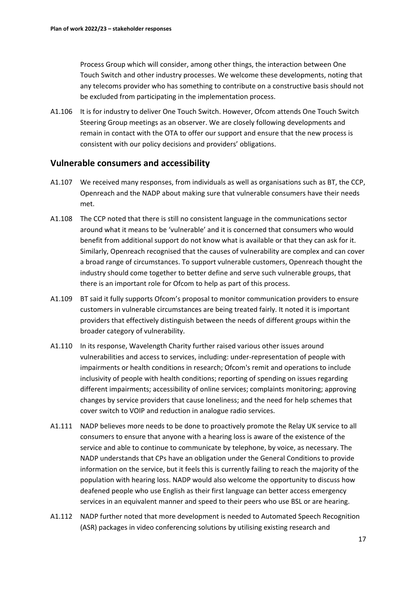Process Group which will consider, among other things, the interaction between One Touch Switch and other industry processes. We welcome these developments, noting that any telecoms provider who has something to contribute on a constructive basis should not be excluded from participating in the implementation process.

A1.106 It is for industry to deliver One Touch Switch. However, Ofcom attends One Touch Switch Steering Group meetings as an observer. We are closely following developments and remain in contact with the OTA to offer our support and ensure that the new process is consistent with our policy decisions and providers' obligations.

### **Vulnerable consumers and accessibility**

- A1.107 We received many responses, from individuals as well as organisations such as BT, the CCP, Openreach and the NADP about making sure that vulnerable consumers have their needs met.
- A1.108 The CCP noted that there is still no consistent language in the communications sector around what it means to be 'vulnerable' and it is concerned that consumers who would benefit from additional support do not know what is available or that they can ask for it. Similarly, Openreach recognised that the causes of vulnerability are complex and can cover a broad range of circumstances. To support vulnerable customers, Openreach thought the industry should come together to better define and serve such vulnerable groups, that there is an important role for Ofcom to help as part of this process.
- A1.109 BT said it fully supports Ofcom's proposal to monitor communication providers to ensure customers in vulnerable circumstances are being treated fairly. It noted it is important providers that effectively distinguish between the needs of different groups within the broader category of vulnerability.
- A1.110 In its response, Wavelength Charity further raised various other issues around vulnerabilities and access to services, including: under-representation of people with impairments or health conditions in research; Ofcom's remit and operations to include inclusivity of people with health conditions; reporting of spending on issues regarding different impairments; accessibility of online services; complaints monitoring; approving changes by service providers that cause loneliness; and the need for help schemes that cover switch to VOIP and reduction in analogue radio services.
- A1.111 NADP believes more needs to be done to proactively promote the Relay UK service to all consumers to ensure that anyone with a hearing loss is aware of the existence of the service and able to continue to communicate by telephone, by voice, as necessary. The NADP understands that CPs have an obligation under the General Conditions to provide information on the service, but it feels this is currently failing to reach the majority of the population with hearing loss. NADP would also welcome the opportunity to discuss how deafened people who use English as their first language can better access emergency services in an equivalent manner and speed to their peers who use BSL or are hearing.
- A1.112 NADP further noted that more development is needed to Automated Speech Recognition (ASR) packages in video conferencing solutions by utilising existing research and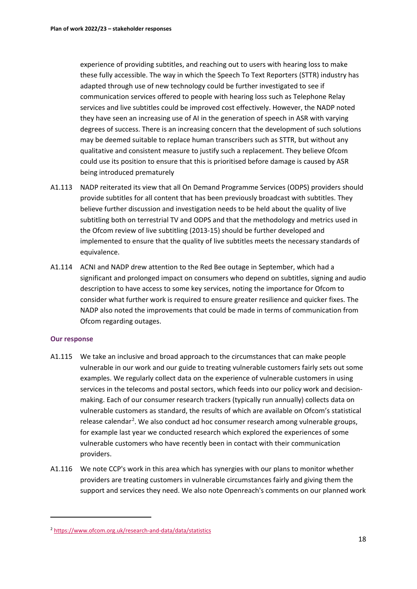experience of providing subtitles, and reaching out to users with hearing loss to make these fully accessible. The way in which the Speech To Text Reporters (STTR) industry has adapted through use of new technology could be further investigated to see if communication services offered to people with hearing loss such as Telephone Relay services and live subtitles could be improved cost effectively. However, the NADP noted they have seen an increasing use of AI in the generation of speech in ASR with varying degrees of success. There is an increasing concern that the development of such solutions may be deemed suitable to replace human transcribers such as STTR, but without any qualitative and consistent measure to justify such a replacement. They believe Ofcom could use its position to ensure that this is prioritised before damage is caused by ASR being introduced prematurely

- A1.113 NADP reiterated its view that all On Demand Programme Services (ODPS) providers should provide subtitles for all content that has been previously broadcast with subtitles. They believe further discussion and investigation needs to be held about the quality of live subtitling both on terrestrial TV and ODPS and that the methodology and metrics used in the Ofcom review of live subtitling (2013-15) should be further developed and implemented to ensure that the quality of live subtitles meets the necessary standards of equivalence.
- A1.114 ACNI and NADP drew attention to the Red Bee outage in September, which had a significant and prolonged impact on consumers who depend on subtitles, signing and audio description to have access to some key services, noting the importance for Ofcom to consider what further work is required to ensure greater resilience and quicker fixes. The NADP also noted the improvements that could be made in terms of communication from Ofcom regarding outages.

- A1.115 We take an inclusive and broad approach to the circumstances that can make people vulnerable in our work and our guide to treating vulnerable customers fairly sets out some examples. We regularly collect data on the experience of vulnerable customers in using services in the telecoms and postal sectors, which feeds into our policy work and decisionmaking. Each of our consumer research trackers (typically run annually) collects data on vulnerable customers as standard, the results of which are available on Ofcom's statistical release calendar<sup>[2](#page-18-0)</sup>. We also conduct ad hoc consumer research among vulnerable groups, for example last year we conducted research which explored the experiences of some vulnerable customers who have recently been in contact with their communication providers.
- A1.116 We note CCP's work in this area which has synergies with our plans to monitor whether providers are treating customers in vulnerable circumstances fairly and giving them the support and services they need. We also note Openreach's comments on our planned work

<span id="page-18-0"></span><sup>2</sup> <https://www.ofcom.org.uk/research-and-data/data/statistics>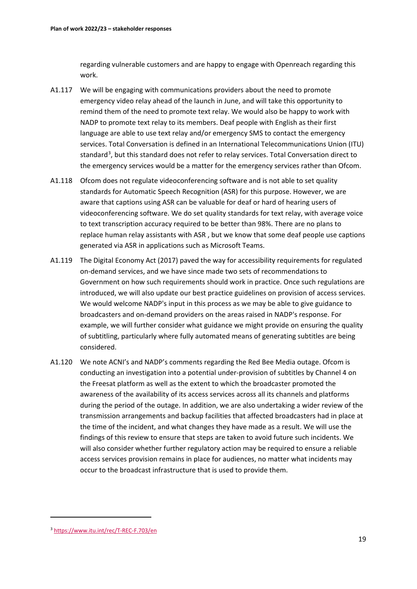regarding vulnerable customers and are happy to engage with Openreach regarding this work.

- A1.117 We will be engaging with communications providers about the need to promote emergency video relay ahead of the launch in June, and will take this opportunity to remind them of the need to promote text relay. We would also be happy to work with NADP to promote text relay to its members. Deaf people with English as their first language are able to use text relay and/or emergency SMS to contact the emergency services. Total Conversation is defined in an International Telecommunications Union (ITU) standard<sup>[3](#page-19-0)</sup>, but this standard does not refer to relay services. Total Conversation direct to the emergency services would be a matter for the emergency services rather than Ofcom.
- A1.118 Ofcom does not regulate videoconferencing software and is not able to set quality standards for Automatic Speech Recognition (ASR) for this purpose. However, we are aware that captions using ASR can be valuable for deaf or hard of hearing users of videoconferencing software. We do set quality standards for text relay, with average voice to text transcription accuracy required to be better than 98%. There are no plans to replace human relay assistants with ASR , but we know that some deaf people use captions generated via ASR in applications such as Microsoft Teams.
- A1.119 The Digital Economy Act (2017) paved the way for accessibility requirements for regulated on-demand services, and we have since made two sets of recommendations to Government on how such requirements should work in practice. Once such regulations are introduced, we will also update our best practice guidelines on provision of access services. We would welcome NADP's input in this process as we may be able to give guidance to broadcasters and on-demand providers on the areas raised in NADP's response. For example, we will further consider what guidance we might provide on ensuring the quality of subtitling, particularly where fully automated means of generating subtitles are being considered.
- A1.120 We note ACNI's and NADP's comments regarding the Red Bee Media outage. Ofcom is conducting an investigation into a potential under-provision of subtitles by Channel 4 on the Freesat platform as well as the extent to which the broadcaster promoted the awareness of the availability of its access services across all its channels and platforms during the period of the outage. In addition, we are also undertaking a wider review of the transmission arrangements and backup facilities that affected broadcasters had in place at the time of the incident, and what changes they have made as a result. We will use the findings of this review to ensure that steps are taken to avoid future such incidents. We will also consider whether further regulatory action may be required to ensure a reliable access services provision remains in place for audiences, no matter what incidents may occur to the broadcast infrastructure that is used to provide them.

<span id="page-19-0"></span><sup>3</sup> <https://www.itu.int/rec/T-REC-F.703/en>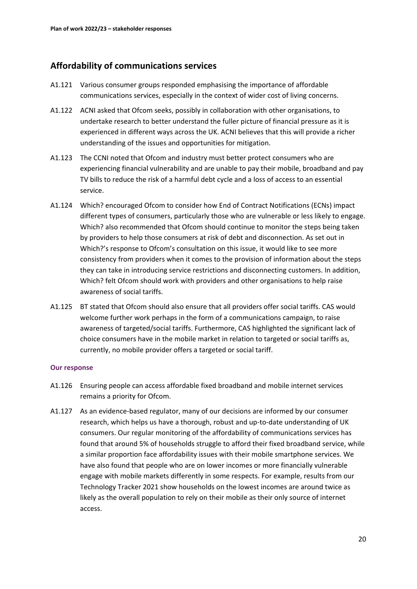# **Affordability of communications services**

- A1.121 Various consumer groups responded emphasising the importance of affordable communications services, especially in the context of wider cost of living concerns.
- A1.122 ACNI asked that Ofcom seeks, possibly in collaboration with other organisations, to undertake research to better understand the fuller picture of financial pressure as it is experienced in different ways across the UK. ACNI believes that this will provide a richer understanding of the issues and opportunities for mitigation.
- A1.123 The CCNI noted that Ofcom and industry must better protect consumers who are experiencing financial vulnerability and are unable to pay their mobile, broadband and pay TV bills to reduce the risk of a harmful debt cycle and a loss of access to an essential service.
- A1.124 Which? encouraged Ofcom to consider how End of Contract Notifications (ECNs) impact different types of consumers, particularly those who are vulnerable or less likely to engage. Which? also recommended that Ofcom should continue to monitor the steps being taken by providers to help those consumers at risk of debt and disconnection. As set out in Which?'s response to Ofcom's consultation on this issue, it would like to see more consistency from providers when it comes to the provision of information about the steps they can take in introducing service restrictions and disconnecting customers. In addition, Which? felt Ofcom should work with providers and other organisations to help raise awareness of social tariffs.
- A1.125 BT stated that Ofcom should also ensure that all providers offer social tariffs. CAS would welcome further work perhaps in the form of a communications campaign, to raise awareness of targeted/social tariffs. Furthermore, CAS highlighted the significant lack of choice consumers have in the mobile market in relation to targeted or social tariffs as, currently, no mobile provider offers a targeted or social tariff.

- A1.126 Ensuring people can access affordable fixed broadband and mobile internet services remains a priority for Ofcom.
- A1.127 As an evidence-based regulator, many of our decisions are informed by our consumer research, which helps us have a thorough, robust and up-to-date understanding of UK consumers. Our regular monitoring of the affordability of communications services has found that around 5% of households struggle to afford their fixed broadband service, while a similar proportion face affordability issues with their mobile smartphone services. We have also found that people who are on lower incomes or more financially vulnerable engage with mobile markets differently in some respects. For example, results from our Technology Tracker 2021 show households on the lowest incomes are around twice as likely as the overall population to rely on their mobile as their only source of internet access.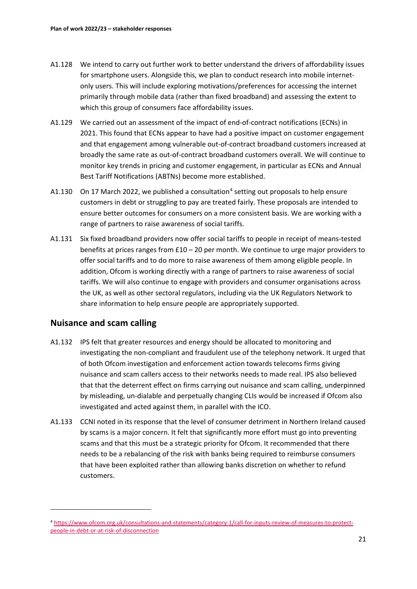- A1.128 We intend to carry out further work to better understand the drivers of affordability issues for smartphone users. Alongside this, we plan to conduct research into mobile internetonly users. This will include exploring motivations/preferences for accessing the internet primarily through mobile data (rather than fixed broadband) and assessing the extent to which this group of consumers face affordability issues.
- A1.129 We carried out an assessment of the impact of end-of-contract notifications (ECNs) in 2021. This found that ECNs appear to have had a positive impact on customer engagement and that engagement among vulnerable out-of-contract broadband customers increased at broadly the same rate as out-of-contract broadband customers overall. We will continue to monitor key trends in pricing and customer engagement, in particular as ECNs and Annual Best Tariff Notifications (ABTNs) become more established.
- A1.130 On 17 March 2022, we published a consultation<sup>[4](#page-21-0)</sup> setting out proposals to help ensure customers in debt or struggling to pay are treated fairly. These proposals are intended to ensure better outcomes for consumers on a more consistent basis. We are working with a range of partners to raise awareness of social tariffs.
- A1.131 Six fixed broadband providers now offer social tariffs to people in receipt of means-tested benefits at prices ranges from  $£10 - 20$  per month. We continue to urge major providers to offer social tariffs and to do more to raise awareness of them among eligible people. In addition, Ofcom is working directly with a range of partners to raise awareness of social tariffs. We will also continue to engage with providers and consumer organisations across the UK, as well as other sectoral regulators, including via the UK Regulators Network to share information to help ensure people are appropriately supported.

# **Nuisance and scam calling**

- A1.132 IPS felt that greater resources and energy should be allocated to monitoring and investigating the non-compliant and fraudulent use of the telephony network. It urged that of both Ofcom investigation and enforcement action towards telecoms firms giving nuisance and scam callers access to their networks needs to made real. IPS also believed that that the deterrent effect on firms carrying out nuisance and scam calling, underpinned by misleading, un-dialable and perpetually changing CLIs would be increased if Ofcom also investigated and acted against them, in parallel with the ICO.
- A1.133 CCNI noted in its response that the level of consumer detriment in Northern Ireland caused by scams is a major concern. It felt that significantly more effort must go into preventing scams and that this must be a strategic priority for Ofcom. It recommended that there needs to be a rebalancing of the risk with banks being required to reimburse consumers that have been exploited rather than allowing banks discretion on whether to refund customers.

<span id="page-21-0"></span><sup>4</sup> [https://www.ofcom.org.uk/consultations-and-statements/category-1/call-for-inputs-review-of-measures-to-protect](https://www.ofcom.org.uk/consultations-and-statements/category-1/call-for-inputs-review-of-measures-to-protect-people-in-debt-or-at-risk-of-disconnection)[people-in-debt-or-at-risk-of-disconnection](https://www.ofcom.org.uk/consultations-and-statements/category-1/call-for-inputs-review-of-measures-to-protect-people-in-debt-or-at-risk-of-disconnection)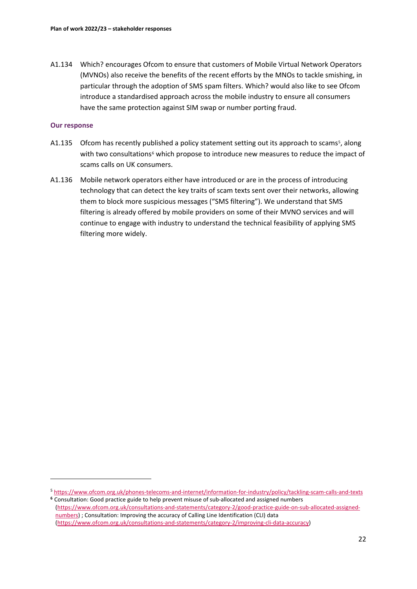A1.134 Which? encourages Ofcom to ensure that customers of Mobile Virtual Network Operators (MVNOs) also receive the benefits of the recent efforts by the MNOs to tackle smishing, in particular through the adoption of SMS spam filters. Which? would also like to see Ofcom introduce a standardised approach across the mobile industry to ensure all consumers have the same protection against SIM swap or number porting fraud.

- A1.13[5](#page-22-0) Ofcom has recently published a policy statement setting out its approach to scams<sup>5</sup>, along with two consultations<sup>[6](#page-22-1)</sup> which propose to introduce new measures to reduce the impact of scams calls on UK consumers.
- A1.136 Mobile network operators either have introduced or are in the process of introducing technology that can detect the key traits of scam texts sent over their networks, allowing them to block more suspicious messages ("SMS filtering"). We understand that SMS filtering is already offered by mobile providers on some of their MVNO services and will continue to engage with industry to understand the technical feasibility of applying SMS filtering more widely.

<span id="page-22-1"></span><span id="page-22-0"></span><sup>5</sup> <https://www.ofcom.org.uk/phones-telecoms-and-internet/information-for-industry/policy/tackling-scam-calls-and-texts> **<sup>6</sup>** Consultation: Good practice guide to help prevent misuse of sub-allocated and assigned numbers

[<sup>\(</sup>https://www.ofcom.org.uk/consultations-and-statements/category-2/good-practice-guide-on-sub-allocated-assigned](https://www.ofcom.org.uk/consultations-and-statements/category-2/good-practice-guide-on-sub-allocated-assigned-numbers)[numbers\)](https://www.ofcom.org.uk/consultations-and-statements/category-2/good-practice-guide-on-sub-allocated-assigned-numbers) ; Consultation: Improving the accuracy of Calling Line Identification (CLI) data [\(https://www.ofcom.org.uk/consultations-and-statements/category-2/improving-cli-data-accuracy\)](https://www.ofcom.org.uk/consultations-and-statements/category-2/improving-cli-data-accuracy)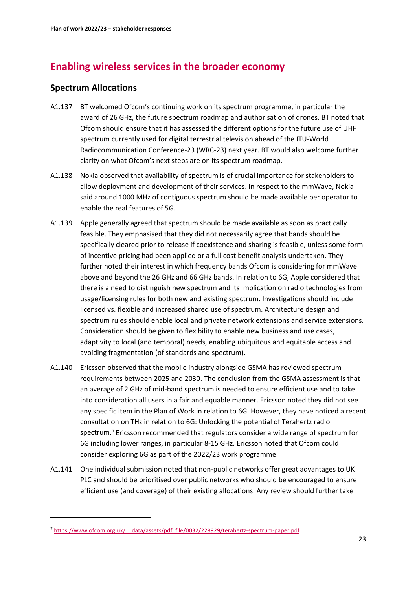# **Enabling wireless services in the broader economy**

# **Spectrum Allocations**

- A1.137 BT welcomed Ofcom's continuing work on its spectrum programme, in particular the award of 26 GHz, the future spectrum roadmap and authorisation of drones. BT noted that Ofcom should ensure that it has assessed the different options for the future use of UHF spectrum currently used for digital terrestrial television ahead of the ITU-World Radiocommunication Conference-23 (WRC-23) next year. BT would also welcome further clarity on what Ofcom's next steps are on its spectrum roadmap.
- A1.138 Nokia observed that availability of spectrum is of crucial importance for stakeholders to allow deployment and development of their services. In respect to the mmWave, Nokia said around 1000 MHz of contiguous spectrum should be made available per operator to enable the real features of 5G.
- A1.139 Apple generally agreed that spectrum should be made available as soon as practically feasible. They emphasised that they did not necessarily agree that bands should be specifically cleared prior to release if coexistence and sharing is feasible, unless some form of incentive pricing had been applied or a full cost benefit analysis undertaken. They further noted their interest in which frequency bands Ofcom is considering for mmWave above and beyond the 26 GHz and 66 GHz bands. In relation to 6G, Apple considered that there is a need to distinguish new spectrum and its implication on radio technologies from usage/licensing rules for both new and existing spectrum. Investigations should include licensed vs. flexible and increased shared use of spectrum. Architecture design and spectrum rules should enable local and private network extensions and service extensions. Consideration should be given to flexibility to enable new business and use cases, adaptivity to local (and temporal) needs, enabling ubiquitous and equitable access and avoiding fragmentation (of standards and spectrum).
- A1.140 Ericsson observed that the mobile industry alongside GSMA has reviewed spectrum requirements between 2025 and 2030. The conclusion from the GSMA assessment is that an average of 2 GHz of mid-band spectrum is needed to ensure efficient use and to take into consideration all users in a fair and equable manner. Ericsson noted they did not see any specific item in the Plan of Work in relation to 6G. However, they have noticed a recent consultation on THz in relation to 6G: Unlocking the potential of Terahertz radio spectrum. [7](#page-23-0) Ericsson recommended that regulators consider a wide range of spectrum for 6G including lower ranges, in particular 8-15 GHz. Ericsson noted that Ofcom could consider exploring 6G as part of the 2022/23 work programme.
- A1.141 One individual submission noted that non-public networks offer great advantages to UK PLC and should be prioritised over public networks who should be encouraged to ensure efficient use (and coverage) of their existing allocations. Any review should further take

<span id="page-23-0"></span><sup>7</sup> [https://www.ofcom.org.uk/\\_\\_data/assets/pdf\\_file/0032/228929/terahertz-spectrum-paper.pdf](https://www.ofcom.org.uk/__data/assets/pdf_file/0032/228929/terahertz-spectrum-paper.pdf)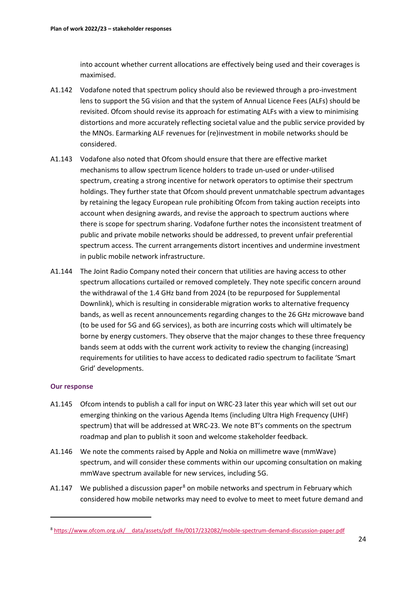into account whether current allocations are effectively being used and their coverages is maximised.

- A1.142 Vodafone noted that spectrum policy should also be reviewed through a pro-investment lens to support the 5G vision and that the system of Annual Licence Fees (ALFs) should be revisited. Ofcom should revise its approach for estimating ALFs with a view to minimising distortions and more accurately reflecting societal value and the public service provided by the MNOs. Earmarking ALF revenues for (re)investment in mobile networks should be considered.
- A1.143 Vodafone also noted that Ofcom should ensure that there are effective market mechanisms to allow spectrum licence holders to trade un-used or under-utilised spectrum, creating a strong incentive for network operators to optimise their spectrum holdings. They further state that Ofcom should prevent unmatchable spectrum advantages by retaining the legacy European rule prohibiting Ofcom from taking auction receipts into account when designing awards, and revise the approach to spectrum auctions where there is scope for spectrum sharing. Vodafone further notes the inconsistent treatment of public and private mobile networks should be addressed, to prevent unfair preferential spectrum access. The current arrangements distort incentives and undermine investment in public mobile network infrastructure.
- A1.144 The Joint Radio Company noted their concern that utilities are having access to other spectrum allocations curtailed or removed completely. They note specific concern around the withdrawal of the 1.4 GHz band from 2024 (to be repurposed for Supplemental Downlink), which is resulting in considerable migration works to alternative frequency bands, as well as recent announcements regarding changes to the 26 GHz microwave band (to be used for 5G and 6G services), as both are incurring costs which will ultimately be borne by energy customers. They observe that the major changes to these three frequency bands seem at odds with the current work activity to review the changing (increasing) requirements for utilities to have access to dedicated radio spectrum to facilitate 'Smart Grid' developments.

- A1.145 Ofcom intends to publish a call for input on WRC-23 later this year which will set out our emerging thinking on the various Agenda Items (including Ultra High Frequency (UHF) spectrum) that will be addressed at WRC-23. We note BT's comments on the spectrum roadmap and plan to publish it soon and welcome stakeholder feedback.
- A1.146 We note the comments raised by Apple and Nokia on millimetre wave (mmWave) spectrum, and will consider these comments within our upcoming consultation on making mmWave spectrum available for new services, including 5G.
- A1.147 We published a discussion paper<sup>[8](#page-24-0)</sup> on mobile networks and spectrum in February which considered how mobile networks may need to evolve to meet to meet future demand and

<span id="page-24-0"></span><sup>8</sup> [https://www.ofcom.org.uk/\\_\\_data/assets/pdf\\_file/0017/232082/mobile-spectrum-demand-discussion-paper.pdf](https://www.ofcom.org.uk/__data/assets/pdf_file/0017/232082/mobile-spectrum-demand-discussion-paper.pdf)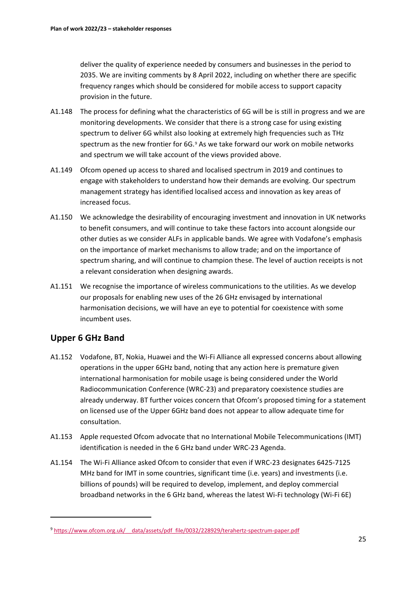deliver the quality of experience needed by consumers and businesses in the period to 2035. We are inviting comments by 8 April 2022, including on whether there are specific frequency ranges which should be considered for mobile access to support capacity provision in the future.

- A1.148 The process for defining what the characteristics of 6G will be is still in progress and we are monitoring developments. We consider that there is a strong case for using existing spectrum to deliver 6G whilst also looking at extremely high frequencies such as THz spectrum as the new frontier for  $6G<sub>2</sub>$  As we take forward our work on mobile networks and spectrum we will take account of the views provided above.
- A1.149 Ofcom opened up access to shared and localised spectrum in 2019 and continues to engage with stakeholders to understand how their demands are evolving. Our spectrum management strategy has identified localised access and innovation as key areas of increased focus.
- A1.150 We acknowledge the desirability of encouraging investment and innovation in UK networks to benefit consumers, and will continue to take these factors into account alongside our other duties as we consider ALFs in applicable bands. We agree with Vodafone's emphasis on the importance of market mechanisms to allow trade; and on the importance of spectrum sharing, and will continue to champion these. The level of auction receipts is not a relevant consideration when designing awards.
- A1.151 We recognise the importance of wireless communications to the utilities. As we develop our proposals for enabling new uses of the 26 GHz envisaged by international harmonisation decisions, we will have an eye to potential for coexistence with some incumbent uses.

# **Upper 6 GHz Band**

- A1.152 Vodafone, BT, Nokia, Huawei and the Wi-Fi Alliance all expressed concerns about allowing operations in the upper 6GHz band, noting that any action here is premature given international harmonisation for mobile usage is being considered under the World Radiocommunication Conference (WRC-23) and preparatory coexistence studies are already underway. BT further voices concern that Ofcom's proposed timing for a statement on licensed use of the Upper 6GHz band does not appear to allow adequate time for consultation.
- A1.153 Apple requested Ofcom advocate that no International Mobile Telecommunications (IMT) identification is needed in the 6 GHz band under WRC-23 Agenda.
- A1.154 The Wi-Fi Alliance asked Ofcom to consider that even if WRC-23 designates 6425-7125 MHz band for IMT in some countries, significant time (i.e. years) and investments (i.e. billions of pounds) will be required to develop, implement, and deploy commercial broadband networks in the 6 GHz band, whereas the latest Wi-Fi technology (Wi-Fi 6E)

<span id="page-25-0"></span><sup>9</sup> [https://www.ofcom.org.uk/\\_\\_data/assets/pdf\\_file/0032/228929/terahertz-spectrum-paper.pdf](https://www.ofcom.org.uk/__data/assets/pdf_file/0032/228929/terahertz-spectrum-paper.pdf)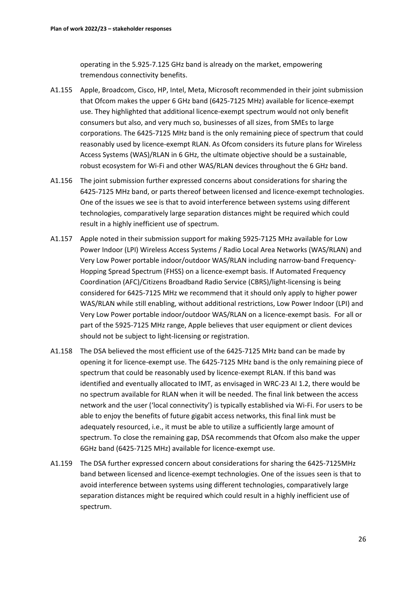operating in the 5.925-7.125 GHz band is already on the market, empowering tremendous connectivity benefits.

- A1.155 Apple, Broadcom, Cisco, HP, Intel, Meta, Microsoft recommended in their joint submission that Ofcom makes the upper 6 GHz band (6425-7125 MHz) available for licence-exempt use. They highlighted that additional licence-exempt spectrum would not only benefit consumers but also, and very much so, businesses of all sizes, from SMEs to large corporations. The 6425-7125 MHz band is the only remaining piece of spectrum that could reasonably used by licence-exempt RLAN. As Ofcom considers its future plans for Wireless Access Systems (WAS)/RLAN in 6 GHz, the ultimate objective should be a sustainable, robust ecosystem for Wi-Fi and other WAS/RLAN devices throughout the 6 GHz band.
- A1.156 The joint submission further expressed concerns about considerations for sharing the 6425-7125 MHz band, or parts thereof between licensed and licence-exempt technologies. One of the issues we see is that to avoid interference between systems using different technologies, comparatively large separation distances might be required which could result in a highly inefficient use of spectrum.
- A1.157 Apple noted in their submission support for making 5925-7125 MHz available for Low Power Indoor (LPI) Wireless Access Systems / Radio Local Area Networks (WAS/RLAN) and Very Low Power portable indoor/outdoor WAS/RLAN including narrow-band Frequency-Hopping Spread Spectrum (FHSS) on a licence-exempt basis. If Automated Frequency Coordination (AFC)/Citizens Broadband Radio Service (CBRS)/light-licensing is being considered for 6425-7125 MHz we recommend that it should only apply to higher power WAS/RLAN while still enabling, without additional restrictions, Low Power Indoor (LPI) and Very Low Power portable indoor/outdoor WAS/RLAN on a licence-exempt basis. For all or part of the 5925-7125 MHz range, Apple believes that user equipment or client devices should not be subject to light-licensing or registration.
- A1.158 The DSA believed the most efficient use of the 6425-7125 MHz band can be made by opening it for licence-exempt use. The 6425-7125 MHz band is the only remaining piece of spectrum that could be reasonably used by licence-exempt RLAN. If this band was identified and eventually allocated to IMT, as envisaged in WRC-23 AI 1.2, there would be no spectrum available for RLAN when it will be needed. The final link between the access network and the user ('local connectivity') is typically established via Wi-Fi. For users to be able to enjoy the benefits of future gigabit access networks, this final link must be adequately resourced, i.e., it must be able to utilize a sufficiently large amount of spectrum. To close the remaining gap, DSA recommends that Ofcom also make the upper 6GHz band (6425-7125 MHz) available for licence-exempt use.
- A1.159 The DSA further expressed concern about considerations for sharing the 6425-7125MHz band between licensed and licence-exempt technologies. One of the issues seen is that to avoid interference between systems using different technologies, comparatively large separation distances might be required which could result in a highly inefficient use of spectrum.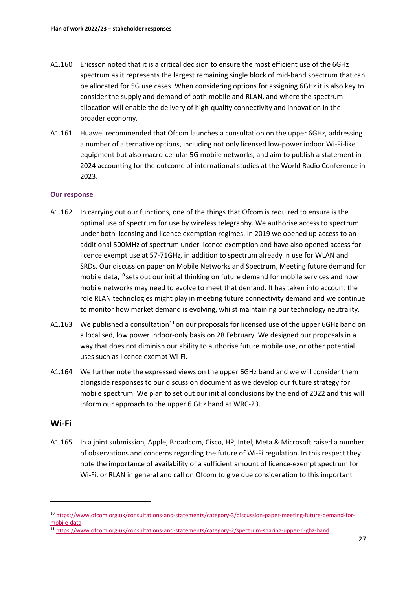- A1.160 Ericsson noted that it is a critical decision to ensure the most efficient use of the 6GHz spectrum as it represents the largest remaining single block of mid-band spectrum that can be allocated for 5G use cases. When considering options for assigning 6GHz it is also key to consider the supply and demand of both mobile and RLAN, and where the spectrum allocation will enable the delivery of high-quality connectivity and innovation in the broader economy.
- A1.161 Huawei recommended that Ofcom launches a consultation on the upper 6GHz, addressing a number of alternative options, including not only licensed low-power indoor Wi-Fi-like equipment but also macro-cellular 5G mobile networks, and aim to publish a statement in 2024 accounting for the outcome of international studies at the World Radio Conference in 2023.

### **Our response**

- A1.162 In carrying out our functions, one of the things that Ofcom is required to ensure is the optimal use of spectrum for use by wireless telegraphy. We authorise access to spectrum under both licensing and licence exemption regimes. In 2019 we opened up access to an additional 500MHz of spectrum under licence exemption and have also opened access for licence exempt use at 57-71GHz, in addition to spectrum already in use for WLAN and SRDs. Our discussion paper on Mobile Networks and Spectrum, Meeting future demand for mobile data, <sup>[10](#page-27-0)</sup> sets out our initial thinking on future demand for mobile services and how mobile networks may need to evolve to meet that demand. It has taken into account the role RLAN technologies might play in meeting future connectivity demand and we continue to monitor how market demand is evolving, whilst maintaining our technology neutrality.
- A1.163 We published a consultation<sup>[11](#page-27-1)</sup> on our proposals for licensed use of the upper 6GHz band on a localised, low power indoor-only basis on 28 February. We designed our proposals in a way that does not diminish our ability to authorise future mobile use, or other potential uses such as licence exempt Wi-Fi.
- A1.164 We further note the expressed views on the upper 6GHz band and we will consider them alongside responses to our discussion document as we develop our future strategy for mobile spectrum. We plan to set out our initial conclusions by the end of 2022 and this will inform our approach to the upper 6 GHz band at WRC-23.

### **Wi-Fi**

A1.165 In a joint submission, Apple, Broadcom, Cisco, HP, Intel, Meta & Microsoft raised a number of observations and concerns regarding the future of Wi-Fi regulation. In this respect they note the importance of availability of a sufficient amount of licence-exempt spectrum for Wi-Fi, or RLAN in general and call on Ofcom to give due consideration to this important

<span id="page-27-0"></span><sup>10</sup> [https://www.ofcom.org.uk/consultations-and-statements/category-3/discussion-paper-meeting-future-demand-for](https://www.ofcom.org.uk/consultations-and-statements/category-3/discussion-paper-meeting-future-demand-for-mobile-data)[mobile-data](https://www.ofcom.org.uk/consultations-and-statements/category-3/discussion-paper-meeting-future-demand-for-mobile-data)

<span id="page-27-1"></span><sup>11</sup> <https://www.ofcom.org.uk/consultations-and-statements/category-2/spectrum-sharing-upper-6-ghz-band>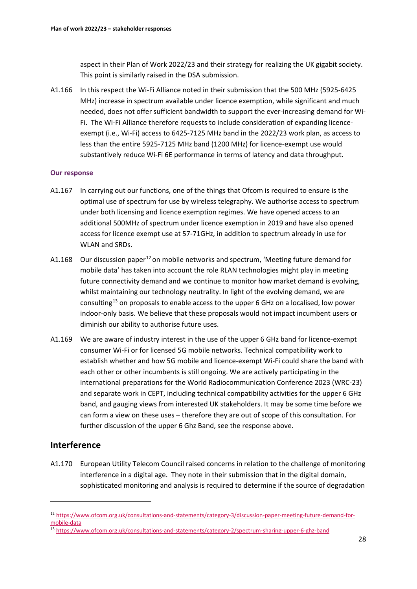aspect in their Plan of Work 2022/23 and their strategy for realizing the UK gigabit society. This point is similarly raised in the DSA submission.

A1.166 In this respect the Wi-Fi Alliance noted in their submission that the 500 MHz (5925-6425 MHz) increase in spectrum available under licence exemption, while significant and much needed, does not offer sufficient bandwidth to support the ever-increasing demand for Wi-Fi. The Wi-Fi Alliance therefore requests to include consideration of expanding licenceexempt (i.e., Wi-Fi) access to 6425-7125 MHz band in the 2022/23 work plan, as access to less than the entire 5925-7125 MHz band (1200 MHz) for licence-exempt use would substantively reduce Wi-Fi 6E performance in terms of latency and data throughput.

### **Our response**

- A1.167 In carrying out our functions, one of the things that Ofcom is required to ensure is the optimal use of spectrum for use by wireless telegraphy. We authorise access to spectrum under both licensing and licence exemption regimes. We have opened access to an additional 500MHz of spectrum under licence exemption in 2019 and have also opened access for licence exempt use at 57-71GHz, in addition to spectrum already in use for WLAN and SRDs.
- A1.168 Our discussion paper<sup>[12](#page-28-0)</sup> on mobile networks and spectrum, 'Meeting future demand for mobile data' has taken into account the role RLAN technologies might play in meeting future connectivity demand and we continue to monitor how market demand is evolving, whilst maintaining our technology neutrality. In light of the evolving demand, we are consulting<sup>[13](#page-28-1)</sup> on proposals to enable access to the upper 6 GHz on a localised, low power indoor-only basis. We believe that these proposals would not impact incumbent users or diminish our ability to authorise future uses.
- A1.169 We are aware of industry interest in the use of the upper 6 GHz band for licence-exempt consumer Wi-Fi or for licensed 5G mobile networks. Technical compatibility work to establish whether and how 5G mobile and licence-exempt Wi-Fi could share the band with each other or other incumbents is still ongoing. We are actively participating in the international preparations for the World Radiocommunication Conference 2023 (WRC-23) and separate work in CEPT, including technical compatibility activities for the upper 6 GHz band, and gauging views from interested UK stakeholders. It may be some time before we can form a view on these uses – therefore they are out of scope of this consultation. For further discussion of the upper 6 Ghz Band, see the response above.

# **Interference**

A1.170 European Utility Telecom Council raised concerns in relation to the challenge of monitoring interference in a digital age. They note in their submission that in the digital domain, sophisticated monitoring and analysis is required to determine if the source of degradation

<span id="page-28-0"></span><sup>12</sup> [https://www.ofcom.org.uk/consultations-and-statements/category-3/discussion-paper-meeting-future-demand-for](https://www.ofcom.org.uk/consultations-and-statements/category-3/discussion-paper-meeting-future-demand-for-mobile-data)[mobile-data](https://www.ofcom.org.uk/consultations-and-statements/category-3/discussion-paper-meeting-future-demand-for-mobile-data)

<span id="page-28-1"></span><sup>13</sup> <https://www.ofcom.org.uk/consultations-and-statements/category-2/spectrum-sharing-upper-6-ghz-band>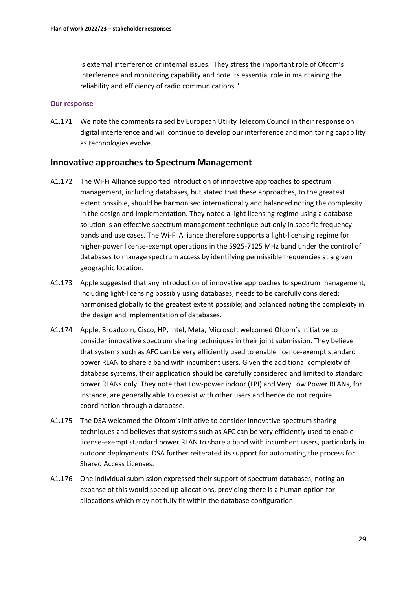is external interference or internal issues. They stress the important role of Ofcom's interference and monitoring capability and note its essential role in maintaining the reliability and efficiency of radio communications."

### **Our response**

A1.171 We note the comments raised by European Utility Telecom Council in their response on digital interference and will continue to develop our interference and monitoring capability as technologies evolve.

### **Innovative approaches to Spectrum Management**

- A1.172 The Wi-Fi Alliance supported introduction of innovative approaches to spectrum management, including databases, but stated that these approaches, to the greatest extent possible, should be harmonised internationally and balanced noting the complexity in the design and implementation. They noted a light licensing regime using a database solution is an effective spectrum management technique but only in specific frequency bands and use cases. The Wi-Fi Alliance therefore supports a light-licensing regime for higher-power license-exempt operations in the 5925-7125 MHz band under the control of databases to manage spectrum access by identifying permissible frequencies at a given geographic location.
- A1.173 Apple suggested that any introduction of innovative approaches to spectrum management, including light-licensing possibly using databases, needs to be carefully considered; harmonised globally to the greatest extent possible; and balanced noting the complexity in the design and implementation of databases.
- A1.174 Apple, Broadcom, Cisco, HP, Intel, Meta, Microsoft welcomed Ofcom's initiative to consider innovative spectrum sharing techniques in their joint submission. They believe that systems such as AFC can be very efficiently used to enable licence-exempt standard power RLAN to share a band with incumbent users. Given the additional complexity of database systems, their application should be carefully considered and limited to standard power RLANs only. They note that Low-power indoor (LPI) and Very Low Power RLANs, for instance, are generally able to coexist with other users and hence do not require coordination through a database.
- A1.175 The DSA welcomed the Ofcom's initiative to consider innovative spectrum sharing techniques and believes that systems such as AFC can be very efficiently used to enable license-exempt standard power RLAN to share a band with incumbent users, particularly in outdoor deployments. DSA further reiterated its support for automating the process for Shared Access Licenses.
- A1.176 One individual submission expressed their support of spectrum databases, noting an expanse of this would speed up allocations, providing there is a human option for allocations which may not fully fit within the database configuration.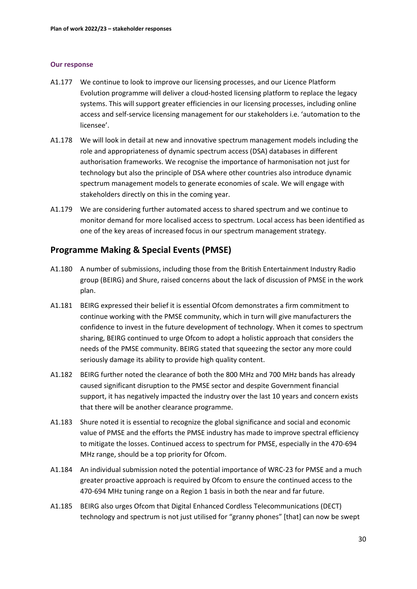### **Our response**

- A1.177 We continue to look to improve our licensing processes, and our Licence Platform Evolution programme will deliver a cloud-hosted licensing platform to replace the legacy systems. This will support greater efficiencies in our licensing processes, including online access and self-service licensing management for our stakeholders i.e. 'automation to the licensee'.
- A1.178 We will look in detail at new and innovative spectrum management models including the role and appropriateness of dynamic spectrum access (DSA) databases in different authorisation frameworks. We recognise the importance of harmonisation not just for technology but also the principle of DSA where other countries also introduce dynamic spectrum management models to generate economies of scale. We will engage with stakeholders directly on this in the coming year.
- A1.179 We are considering further automated access to shared spectrum and we continue to monitor demand for more localised access to spectrum. Local access has been identified as one of the key areas of increased focus in our spectrum management strategy.

# **Programme Making & Special Events (PMSE)**

- A1.180 A number of submissions, including those from the British Entertainment Industry Radio group (BEIRG) and Shure, raised concerns about the lack of discussion of PMSE in the work plan.
- A1.181 BEIRG expressed their belief it is essential Ofcom demonstrates a firm commitment to continue working with the PMSE community, which in turn will give manufacturers the confidence to invest in the future development of technology. When it comes to spectrum sharing, BEIRG continued to urge Ofcom to adopt a holistic approach that considers the needs of the PMSE community. BEIRG stated that squeezing the sector any more could seriously damage its ability to provide high quality content.
- A1.182 BEIRG further noted the clearance of both the 800 MHz and 700 MHz bands has already caused significant disruption to the PMSE sector and despite Government financial support, it has negatively impacted the industry over the last 10 years and concern exists that there will be another clearance programme.
- A1.183 Shure noted it is essential to recognize the global significance and social and economic value of PMSE and the efforts the PMSE industry has made to improve spectral efficiency to mitigate the losses. Continued access to spectrum for PMSE, especially in the 470-694 MHz range, should be a top priority for Ofcom.
- A1.184 An individual submission noted the potential importance of WRC-23 for PMSE and a much greater proactive approach is required by Ofcom to ensure the continued access to the 470-694 MHz tuning range on a Region 1 basis in both the near and far future.
- A1.185 BEIRG also urges Ofcom that Digital Enhanced Cordless Telecommunications (DECT) technology and spectrum is not just utilised for "granny phones" [that] can now be swept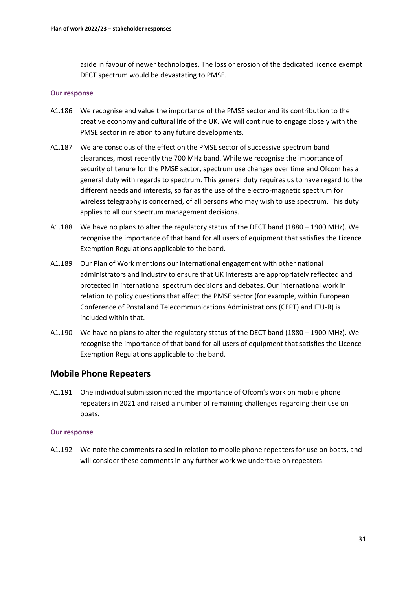aside in favour of newer technologies. The loss or erosion of the dedicated licence exempt DECT spectrum would be devastating to PMSE.

### **Our response**

- A1.186 We recognise and value the importance of the PMSE sector and its contribution to the creative economy and cultural life of the UK. We will continue to engage closely with the PMSE sector in relation to any future developments.
- A1.187 We are conscious of the effect on the PMSE sector of successive spectrum band clearances, most recently the 700 MHz band. While we recognise the importance of security of tenure for the PMSE sector, spectrum use changes over time and Ofcom has a general duty with regards to spectrum. This general duty requires us to have regard to the different needs and interests, so far as the use of the electro-magnetic spectrum for wireless telegraphy is concerned, of all persons who may wish to use spectrum. This duty applies to all our spectrum management decisions.
- A1.188 We have no plans to alter the regulatory status of the DECT band (1880 1900 MHz). We recognise the importance of that band for all users of equipment that satisfies the Licence Exemption Regulations applicable to the band.
- A1.189 Our Plan of Work mentions our international engagement with other national administrators and industry to ensure that UK interests are appropriately reflected and protected in international spectrum decisions and debates. Our international work in relation to policy questions that affect the PMSE sector (for example, within European Conference of Postal and Telecommunications Administrations (CEPT) and ITU-R) is included within that.
- A1.190 We have no plans to alter the regulatory status of the DECT band (1880 1900 MHz). We recognise the importance of that band for all users of equipment that satisfies the Licence Exemption Regulations applicable to the band.

### **Mobile Phone Repeaters**

A1.191 One individual submission noted the importance of Ofcom's work on mobile phone repeaters in 2021 and raised a number of remaining challenges regarding their use on boats.

### **Our response**

A1.192 We note the comments raised in relation to mobile phone repeaters for use on boats, and will consider these comments in any further work we undertake on repeaters.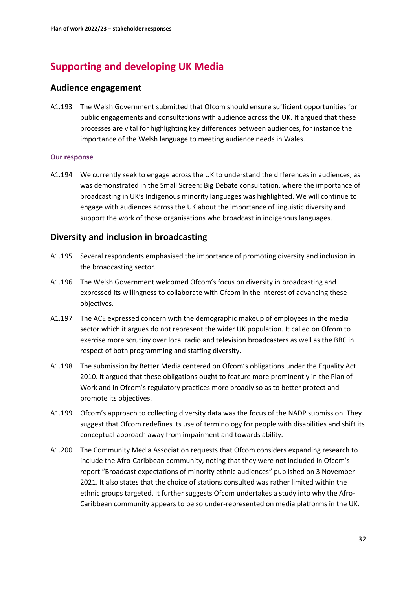# **Supporting and developing UK Media**

# **Audience engagement**

A1.193 The Welsh Government submitted that Ofcom should ensure sufficient opportunities for public engagements and consultations with audience across the UK. It argued that these processes are vital for highlighting key differences between audiences, for instance the importance of the Welsh language to meeting audience needs in Wales.

### **Our response**

A1.194 We currently seek to engage across the UK to understand the differences in audiences, as was demonstrated in the Small Screen: Big Debate consultation, where the importance of broadcasting in UK's Indigenous minority languages was highlighted. We will continue to engage with audiences across the UK about the importance of linguistic diversity and support the work of those organisations who broadcast in indigenous languages.

# **Diversity and inclusion in broadcasting**

- A1.195 Several respondents emphasised the importance of promoting diversity and inclusion in the broadcasting sector.
- A1.196 The Welsh Government welcomed Ofcom's focus on diversity in broadcasting and expressed its willingness to collaborate with Ofcom in the interest of advancing these objectives.
- A1.197 The ACE expressed concern with the demographic makeup of employees in the media sector which it argues do not represent the wider UK population. It called on Ofcom to exercise more scrutiny over local radio and television broadcasters as well as the BBC in respect of both programming and staffing diversity.
- A1.198 The submission by Better Media centered on Ofcom's obligations under the Equality Act 2010. It argued that these obligations ought to feature more prominently in the Plan of Work and in Ofcom's regulatory practices more broadly so as to better protect and promote its objectives.
- A1.199 Ofcom's approach to collecting diversity data was the focus of the NADP submission. They suggest that Ofcom redefines its use of terminology for people with disabilities and shift its conceptual approach away from impairment and towards ability.
- A1.200 The Community Media Association requests that Ofcom considers expanding research to include the Afro-Caribbean community, noting that they were not included in Ofcom's report "Broadcast expectations of minority ethnic audiences" published on 3 November 2021. It also states that the choice of stations consulted was rather limited within the ethnic groups targeted. It further suggests Ofcom undertakes a study into why the Afro-Caribbean community appears to be so under-represented on media platforms in the UK.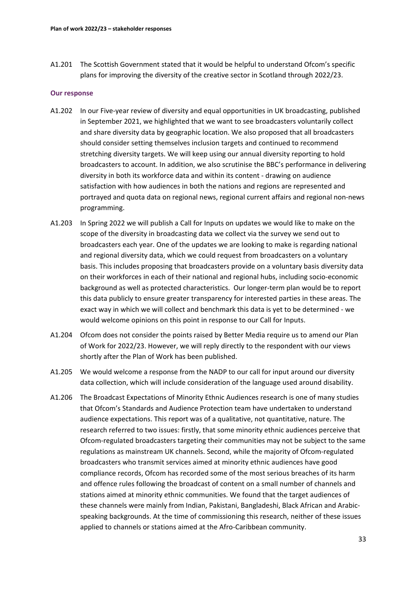A1.201 The Scottish Government stated that it would be helpful to understand Ofcom's specific plans for improving the diversity of the creative sector in Scotland through 2022/23.

- A1.202 In our Five-year review of diversity and equal opportunities in UK broadcasting, published in September 2021, we highlighted that we want to see broadcasters voluntarily collect and share diversity data by geographic location. We also proposed that all broadcasters should consider setting themselves inclusion targets and continued to recommend stretching diversity targets. We will keep using our annual diversity reporting to hold broadcasters to account. In addition, we also scrutinise the BBC's performance in delivering diversity in both its workforce data and within its content - drawing on audience satisfaction with how audiences in both the nations and regions are represented and portrayed and quota data on regional news, regional current affairs and regional non-news programming.
- A1.203 In Spring 2022 we will publish a Call for Inputs on updates we would like to make on the scope of the diversity in broadcasting data we collect via the survey we send out to broadcasters each year. One of the updates we are looking to make is regarding national and regional diversity data, which we could request from broadcasters on a voluntary basis. This includes proposing that broadcasters provide on a voluntary basis diversity data on their workforces in each of their national and regional hubs, including socio-economic background as well as protected characteristics. Our longer-term plan would be to report this data publicly to ensure greater transparency for interested parties in these areas. The exact way in which we will collect and benchmark this data is yet to be determined - we would welcome opinions on this point in response to our Call for Inputs.
- A1.204 Ofcom does not consider the points raised by Better Media require us to amend our Plan of Work for 2022/23. However, we will reply directly to the respondent with our views shortly after the Plan of Work has been published.
- A1.205 We would welcome a response from the NADP to our call for input around our diversity data collection, which will include consideration of the language used around disability.
- A1.206 The Broadcast Expectations of Minority Ethnic Audiences research is one of many studies that Ofcom's Standards and Audience Protection team have undertaken to understand audience expectations. This report was of a qualitative, not quantitative, nature. The research referred to two issues: firstly, that some minority ethnic audiences perceive that Ofcom-regulated broadcasters targeting their communities may not be subject to the same regulations as mainstream UK channels. Second, while the majority of Ofcom-regulated broadcasters who transmit services aimed at minority ethnic audiences have good compliance records, Ofcom has recorded some of the most serious breaches of its harm and offence rules following the broadcast of content on a small number of channels and stations aimed at minority ethnic communities. We found that the target audiences of these channels were mainly from Indian, Pakistani, Bangladeshi, Black African and Arabicspeaking backgrounds. At the time of commissioning this research, neither of these issues applied to channels or stations aimed at the Afro-Caribbean community.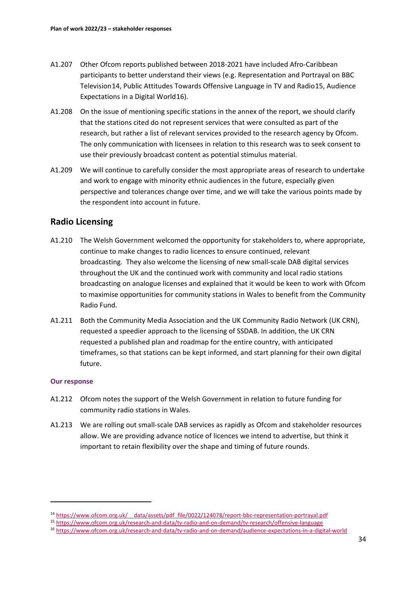- A1.207 Other Ofcom reports published between 2018-2021 have included Afro-Caribbean participants to better understand their views (e.g. Representation and Portrayal on BBC Television[14,](#page-34-0) Public Attitudes Towards Offensive Language in TV and Radio[15](#page-34-1), Audience Expectations in a Digital World[16\)](#page-34-2).
- A1.208 On the issue of mentioning specific stations in the annex of the report, we should clarify that the stations cited do not represent services that were consulted as part of the research, but rather a list of relevant services provided to the research agency by Ofcom. The only communication with licensees in relation to this research was to seek consent to use their previously broadcast content as potential stimulus material.
- A1.209 We will continue to carefully consider the most appropriate areas of research to undertake and work to engage with minority ethnic audiences in the future, especially given perspective and tolerances change over time, and we will take the various points made by the respondent into account in future.

# **Radio Licensing**

- A1.210 The Welsh Government welcomed the opportunity for stakeholders to, where appropriate, continue to make changes to radio licences to ensure continued, relevant broadcasting. They also welcome the licensing of new small-scale DAB digital services throughout the UK and the continued work with community and local radio stations broadcasting on analogue licenses and explained that it would be keen to work with Ofcom to maximise opportunities for community stations in Wales to benefit from the Community Radio Fund.
- A1.211 Both the Community Media Association and the UK Community Radio Network (UK CRN), requested a speedier approach to the licensing of SSDAB. In addition, the UK CRN requested a published plan and roadmap for the entire country, with anticipated timeframes, so that stations can be kept informed, and start planning for their own digital future.

- A1.212 Ofcom notes the support of the Welsh Government in relation to future funding for community radio stations in Wales.
- A1.213 We are rolling out small-scale DAB services as rapidly as Ofcom and stakeholder resources allow. We are providing advance notice of licences we intend to advertise, but think it important to retain flexibility over the shape and timing of future rounds.

<span id="page-34-0"></span><sup>&</sup>lt;sup>14</sup> https://www.ofcom.org.uk/ data/assets/pdf file/0022/124078/report-bbc-representation-portrayal.pdf

<span id="page-34-2"></span><span id="page-34-1"></span><sup>15</sup> <https://www.ofcom.org.uk/research-and-data/tv-radio-and-on-demand/tv-research/offensive-language>

<sup>16</sup> <https://www.ofcom.org.uk/research-and-data/tv-radio-and-on-demand/audience-expectations-in-a-digital-world>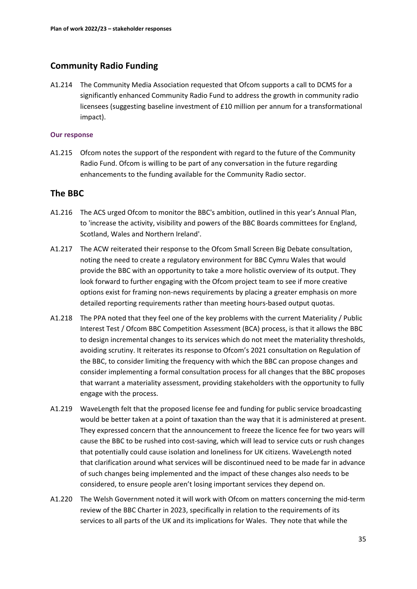# **Community Radio Funding**

A1.214 The Community Media Association requested that Ofcom supports a call to DCMS for a significantly enhanced Community Radio Fund to address the growth in community radio licensees (suggesting baseline investment of £10 million per annum for a transformational impact).

### **Our response**

A1.215 Ofcom notes the support of the respondent with regard to the future of the Community Radio Fund. Ofcom is willing to be part of any conversation in the future regarding enhancements to the funding available for the Community Radio sector.

# **The BBC**

- A1.216 The ACS urged Ofcom to monitor the BBC's ambition, outlined in this year's Annual Plan, to 'increase the activity, visibility and powers of the BBC Boards committees for England, Scotland, Wales and Northern Ireland'.
- A1.217 The ACW reiterated their response to the Ofcom Small Screen Big Debate consultation, noting the need to create a regulatory environment for BBC Cymru Wales that would provide the BBC with an opportunity to take a more holistic overview of its output. They look forward to further engaging with the Ofcom project team to see if more creative options exist for framing non-news requirements by placing a greater emphasis on more detailed reporting requirements rather than meeting hours-based output quotas.
- A1.218 The PPA noted that they feel one of the key problems with the current Materiality / Public Interest Test / Ofcom BBC Competition Assessment (BCA) process, is that it allows the BBC to design incremental changes to its services which do not meet the materiality thresholds, avoiding scrutiny. It reiterates its response to Ofcom's 2021 consultation on Regulation of the BBC, to consider limiting the frequency with which the BBC can propose changes and consider implementing a formal consultation process for all changes that the BBC proposes that warrant a materiality assessment, providing stakeholders with the opportunity to fully engage with the process.
- A1.219 WaveLength felt that the proposed license fee and funding for public service broadcasting would be better taken at a point of taxation than the way that it is administered at present. They expressed concern that the announcement to freeze the licence fee for two years will cause the BBC to be rushed into cost-saving, which will lead to service cuts or rush changes that potentially could cause isolation and loneliness for UK citizens. WaveLength noted that clarification around what services will be discontinued need to be made far in advance of such changes being implemented and the impact of these changes also needs to be considered, to ensure people aren't losing important services they depend on.
- A1.220 The Welsh Government noted it will work with Ofcom on matters concerning the mid-term review of the BBC Charter in 2023, specifically in relation to the requirements of its services to all parts of the UK and its implications for Wales. They note that while the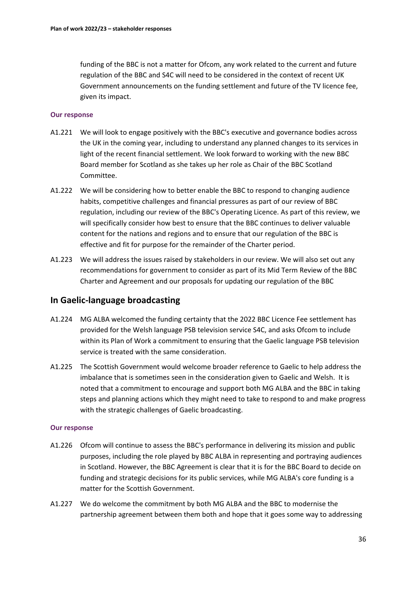funding of the BBC is not a matter for Ofcom, any work related to the current and future regulation of the BBC and S4C will need to be considered in the context of recent UK Government announcements on the funding settlement and future of the TV licence fee, given its impact.

### **Our response**

- A1.221 We will look to engage positively with the BBC's executive and governance bodies across the UK in the coming year, including to understand any planned changes to its services in light of the recent financial settlement. We look forward to working with the new BBC Board member for Scotland as she takes up her role as Chair of the BBC Scotland Committee.
- A1.222 We will be considering how to better enable the BBC to respond to changing audience habits, competitive challenges and financial pressures as part of our review of BBC regulation, including our review of the BBC's Operating Licence. As part of this review, we will specifically consider how best to ensure that the BBC continues to deliver valuable content for the nations and regions and to ensure that our regulation of the BBC is effective and fit for purpose for the remainder of the Charter period.
- A1.223 We will address the issues raised by stakeholders in our review. We will also set out any recommendations for government to consider as part of its Mid Term Review of the BBC Charter and Agreement and our proposals for updating our regulation of the BBC

# **In Gaelic-language broadcasting**

- A1.224 MG ALBA welcomed the funding certainty that the 2022 BBC Licence Fee settlement has provided for the Welsh language PSB television service S4C, and asks Ofcom to include within its Plan of Work a commitment to ensuring that the Gaelic language PSB television service is treated with the same consideration.
- A1.225 The Scottish Government would welcome broader reference to Gaelic to help address the imbalance that is sometimes seen in the consideration given to Gaelic and Welsh. It is noted that a commitment to encourage and support both MG ALBA and the BBC in taking steps and planning actions which they might need to take to respond to and make progress with the strategic challenges of Gaelic broadcasting.

- A1.226 Ofcom will continue to assess the BBC's performance in delivering its mission and public purposes, including the role played by BBC ALBA in representing and portraying audiences in Scotland. However, the BBC Agreement is clear that it is for the BBC Board to decide on funding and strategic decisions for its public services, while MG ALBA's core funding is a matter for the Scottish Government.
- A1.227 We do welcome the commitment by both MG ALBA and the BBC to modernise the partnership agreement between them both and hope that it goes some way to addressing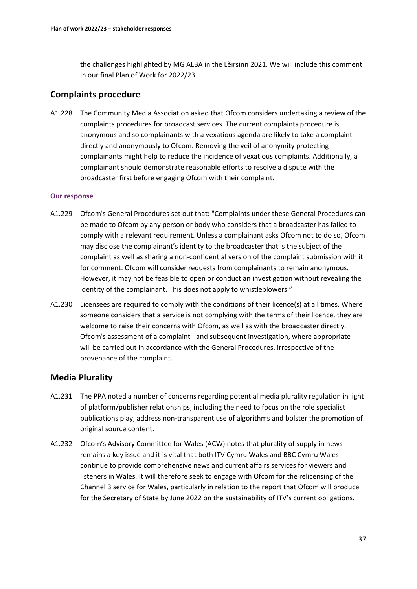the challenges highlighted by MG ALBA in the Lèirsinn 2021. We will include this comment in our final Plan of Work for 2022/23.

# **Complaints procedure**

A1.228 The Community Media Association asked that Ofcom considers undertaking a review of the complaints procedures for broadcast services. The current complaints procedure is anonymous and so complainants with a vexatious agenda are likely to take a complaint directly and anonymously to Ofcom. Removing the veil of anonymity protecting complainants might help to reduce the incidence of vexatious complaints. Additionally, a complainant should demonstrate reasonable efforts to resolve a dispute with the broadcaster first before engaging Ofcom with their complaint.

### **Our response**

- A1.229 Ofcom's General Procedures set out that: "Complaints under these General Procedures can be made to Ofcom by any person or body who considers that a broadcaster has failed to comply with a relevant requirement. Unless a complainant asks Ofcom not to do so, Ofcom may disclose the complainant's identity to the broadcaster that is the subject of the complaint as well as sharing a non-confidential version of the complaint submission with it for comment. Ofcom will consider requests from complainants to remain anonymous. However, it may not be feasible to open or conduct an investigation without revealing the identity of the complainant. This does not apply to whistleblowers."
- A1.230 Licensees are required to comply with the conditions of their licence(s) at all times. Where someone considers that a service is not complying with the terms of their licence, they are welcome to raise their concerns with Ofcom, as well as with the broadcaster directly. Ofcom's assessment of a complaint - and subsequent investigation, where appropriate will be carried out in accordance with the General Procedures, irrespective of the provenance of the complaint.

# **Media Plurality**

- A1.231 The PPA noted a number of concerns regarding potential media plurality regulation in light of platform/publisher relationships, including the need to focus on the role specialist publications play, address non-transparent use of algorithms and bolster the promotion of original source content.
- A1.232 Ofcom's Advisory Committee for Wales (ACW) notes that plurality of supply in news remains a key issue and it is vital that both ITV Cymru Wales and BBC Cymru Wales continue to provide comprehensive news and current affairs services for viewers and listeners in Wales. It will therefore seek to engage with Ofcom for the relicensing of the Channel 3 service for Wales, particularly in relation to the report that Ofcom will produce for the Secretary of State by June 2022 on the sustainability of ITV's current obligations.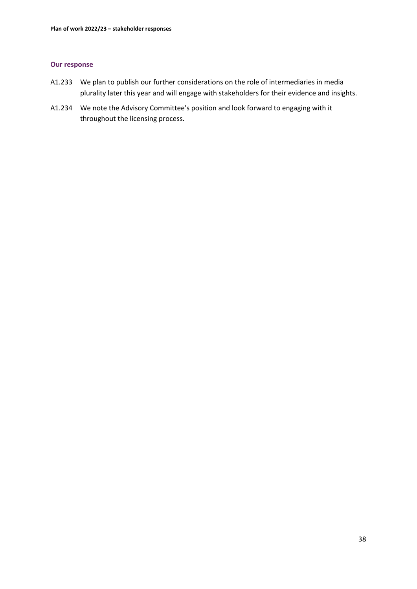- A1.233 We plan to publish our further considerations on the role of intermediaries in media plurality later this year and will engage with stakeholders for their evidence and insights.
- A1.234 We note the Advisory Committee's position and look forward to engaging with it throughout the licensing process.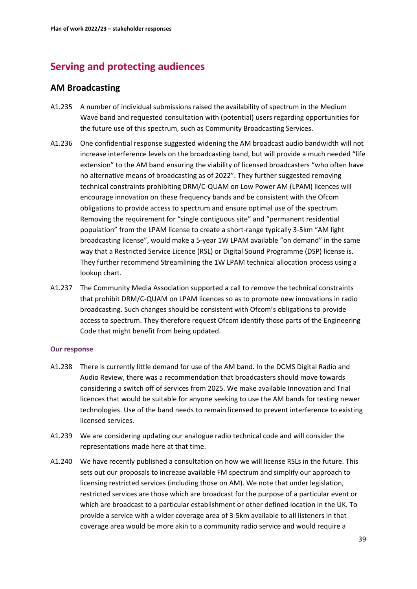# **Serving and protecting audiences**

# **AM Broadcasting**

- A1.235 A number of individual submissions raised the availability of spectrum in the Medium Wave band and requested consultation with (potential) users regarding opportunities for the future use of this spectrum, such as Community Broadcasting Services.
- A1.236 One confidential response suggested widening the AM broadcast audio bandwidth will not increase interference levels on the broadcasting band, but will provide a much needed "life extension" to the AM band ensuring the viability of licensed broadcasters "who often have no alternative means of broadcasting as of 2022". They further suggested removing technical constraints prohibiting DRM/C-QUAM on Low Power AM (LPAM) licences will encourage innovation on these frequency bands and be consistent with the Ofcom obligations to provide access to spectrum and ensure optimal use of the spectrum. Removing the requirement for "single contiguous site" and "permanent residential population" from the LPAM license to create a short-range typically 3-5km "AM light broadcasting license", would make a 5-year 1W LPAM available "on demand" in the same way that a Restricted Service Licence (RSL) or Digital Sound Programme (DSP) license is. They further recommend Streamlining the 1W LPAM technical allocation process using a lookup chart.
- A1.237 The Community Media Association supported a call to remove the technical constraints that prohibit DRM/C-QUAM on LPAM licences so as to promote new innovations in radio broadcasting. Such changes should be consistent with Ofcom's obligations to provide access to spectrum. They therefore request Ofcom identify those parts of the Engineering Code that might benefit from being updated.

- A1.238 There is currently little demand for use of the AM band. In the DCMS Digital Radio and Audio Review, there was a recommendation that broadcasters should move towards considering a switch off of services from 2025. We make available Innovation and Trial licences that would be suitable for anyone seeking to use the AM bands for testing newer technologies. Use of the band needs to remain licensed to prevent interference to existing licensed services.
- A1.239 We are considering updating our analogue radio technical code and will consider the representations made here at that time.
- A1.240 We have recently published a consultation on how we will license RSLs in the future. This sets out our proposals to increase available FM spectrum and simplify our approach to licensing restricted services (including those on AM). We note that under legislation, restricted services are those which are broadcast for the purpose of a particular event or which are broadcast to a particular establishment or other defined location in the UK. To provide a service with a wider coverage area of 3-5km available to all listeners in that coverage area would be more akin to a community radio service and would require a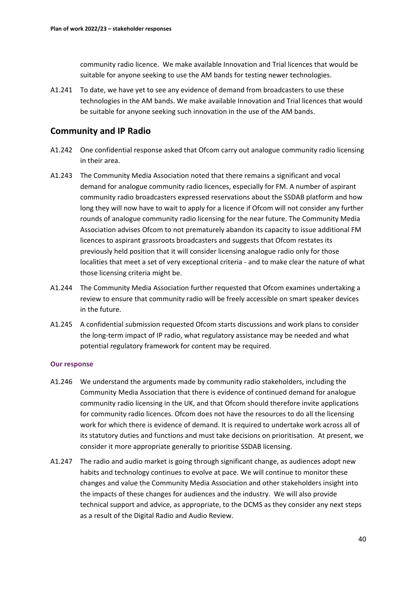community radio licence. We make available Innovation and Trial licences that would be suitable for anyone seeking to use the AM bands for testing newer technologies.

A1.241 To date, we have yet to see any evidence of demand from broadcasters to use these technologies in the AM bands. We make available Innovation and Trial licences that would be suitable for anyone seeking such innovation in the use of the AM bands.

# **Community and IP Radio**

- A1.242 One confidential response asked that Ofcom carry out analogue community radio licensing in their area.
- A1.243 The Community Media Association noted that there remains a significant and vocal demand for analogue community radio licences, especially for FM. A number of aspirant community radio broadcasters expressed reservations about the SSDAB platform and how long they will now have to wait to apply for a licence if Ofcom will not consider any further rounds of analogue community radio licensing for the near future. The Community Media Association advises Ofcom to not prematurely abandon its capacity to issue additional FM licences to aspirant grassroots broadcasters and suggests that Ofcom restates its previously held position that it will consider licensing analogue radio only for those localities that meet a set of very exceptional criteria - and to make clear the nature of what those licensing criteria might be.
- A1.244 The Community Media Association further requested that Ofcom examines undertaking a review to ensure that community radio will be freely accessible on smart speaker devices in the future.
- A1.245 A confidential submission requested Ofcom starts discussions and work plans to consider the long-term impact of IP radio, what regulatory assistance may be needed and what potential regulatory framework for content may be required.

- A1.246 We understand the arguments made by community radio stakeholders, including the Community Media Association that there is evidence of continued demand for analogue community radio licensing in the UK, and that Ofcom should therefore invite applications for community radio licences. Ofcom does not have the resources to do all the licensing work for which there is evidence of demand. It is required to undertake work across all of its statutory duties and functions and must take decisions on prioritisation. At present, we consider it more appropriate generally to prioritise SSDAB licensing.
- A1.247 The radio and audio market is going through significant change, as audiences adopt new habits and technology continues to evolve at pace. We will continue to monitor these changes and value the Community Media Association and other stakeholders insight into the impacts of these changes for audiences and the industry. We will also provide technical support and advice, as appropriate, to the DCMS as they consider any next steps as a result of the Digital Radio and Audio Review.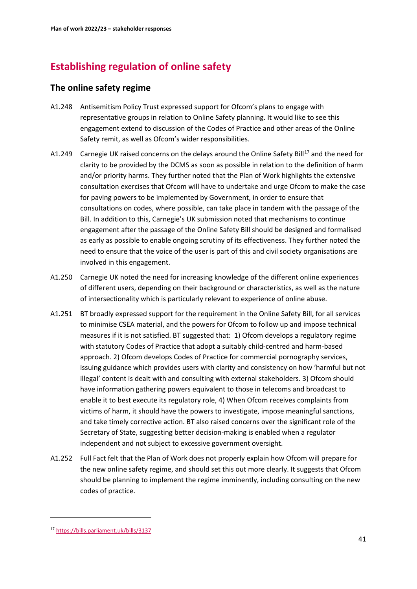# **Establishing regulation of online safety**

# **The online safety regime**

- A1.248 Antisemitism Policy Trust expressed support for Ofcom's plans to engage with representative groups in relation to Online Safety planning. It would like to see this engagement extend to discussion of the Codes of Practice and other areas of the Online Safety remit, as well as Ofcom's wider responsibilities.
- A1.249 Carnegie UK raised concerns on the delays around the Online Safety Bill<sup>[17](#page-41-0)</sup> and the need for clarity to be provided by the DCMS as soon as possible in relation to the definition of harm and/or priority harms. They further noted that the Plan of Work highlights the extensive consultation exercises that Ofcom will have to undertake and urge Ofcom to make the case for paving powers to be implemented by Government, in order to ensure that consultations on codes, where possible, can take place in tandem with the passage of the Bill. In addition to this, Carnegie's UK submission noted that mechanisms to continue engagement after the passage of the Online Safety Bill should be designed and formalised as early as possible to enable ongoing scrutiny of its effectiveness. They further noted the need to ensure that the voice of the user is part of this and civil society organisations are involved in this engagement.
- A1.250 Carnegie UK noted the need for increasing knowledge of the different online experiences of different users, depending on their background or characteristics, as well as the nature of intersectionality which is particularly relevant to experience of online abuse.
- A1.251 BT broadly expressed support for the requirement in the Online Safety Bill, for all services to minimise CSEA material, and the powers for Ofcom to follow up and impose technical measures if it is not satisfied. BT suggested that: 1) Ofcom develops a regulatory regime with statutory Codes of Practice that adopt a suitably child-centred and harm-based approach. 2) Ofcom develops Codes of Practice for commercial pornography services, issuing guidance which provides users with clarity and consistency on how 'harmful but not illegal' content is dealt with and consulting with external stakeholders. 3) Ofcom should have information gathering powers equivalent to those in telecoms and broadcast to enable it to best execute its regulatory role, 4) When Ofcom receives complaints from victims of harm, it should have the powers to investigate, impose meaningful sanctions, and take timely corrective action. BT also raised concerns over the significant role of the Secretary of State, suggesting better decision-making is enabled when a regulator independent and not subject to excessive government oversight.
- A1.252 Full Fact felt that the Plan of Work does not properly explain how Ofcom will prepare for the new online safety regime, and should set this out more clearly. It suggests that Ofcom should be planning to implement the regime imminently, including consulting on the new codes of practice.

<span id="page-41-0"></span><sup>17</sup> <https://bills.parliament.uk/bills/3137>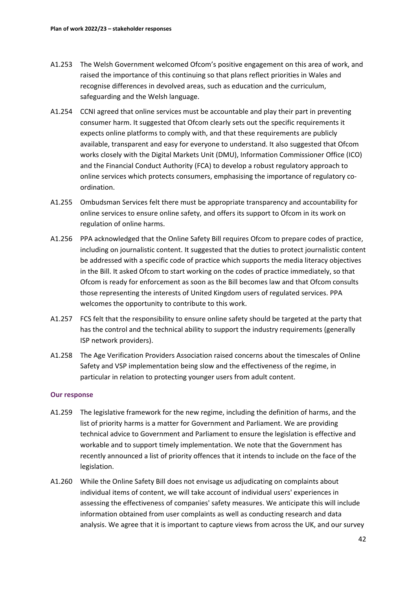- A1.253 The Welsh Government welcomed Ofcom's positive engagement on this area of work, and raised the importance of this continuing so that plans reflect priorities in Wales and recognise differences in devolved areas, such as education and the curriculum, safeguarding and the Welsh language.
- A1.254 CCNI agreed that online services must be accountable and play their part in preventing consumer harm. It suggested that Ofcom clearly sets out the specific requirements it expects online platforms to comply with, and that these requirements are publicly available, transparent and easy for everyone to understand. It also suggested that Ofcom works closely with the Digital Markets Unit (DMU), Information Commissioner Office (ICO) and the Financial Conduct Authority (FCA) to develop a robust regulatory approach to online services which protects consumers, emphasising the importance of regulatory coordination.
- A1.255 Ombudsman Services felt there must be appropriate transparency and accountability for online services to ensure online safety, and offers its support to Ofcom in its work on regulation of online harms.
- A1.256 PPA acknowledged that the Online Safety Bill requires Ofcom to prepare codes of practice, including on journalistic content. It suggested that the duties to protect journalistic content be addressed with a specific code of practice which supports the media literacy objectives in the Bill. It asked Ofcom to start working on the codes of practice immediately, so that Ofcom is ready for enforcement as soon as the Bill becomes law and that Ofcom consults those representing the interests of United Kingdom users of regulated services. PPA welcomes the opportunity to contribute to this work.
- A1.257 FCS felt that the responsibility to ensure online safety should be targeted at the party that has the control and the technical ability to support the industry requirements (generally ISP network providers).
- A1.258 The Age Verification Providers Association raised concerns about the timescales of Online Safety and VSP implementation being slow and the effectiveness of the regime, in particular in relation to protecting younger users from adult content.

- A1.259 The legislative framework for the new regime, including the definition of harms, and the list of priority harms is a matter for Government and Parliament. We are providing technical advice to Government and Parliament to ensure the legislation is effective and workable and to support timely implementation. We note that the Government has recently announced a list of priority offences that it intends to include on the face of the legislation.
- A1.260 While the Online Safety Bill does not envisage us adjudicating on complaints about individual items of content, we will take account of individual users' experiences in assessing the effectiveness of companies' safety measures. We anticipate this will include information obtained from user complaints as well as conducting research and data analysis. We agree that it is important to capture views from across the UK, and our survey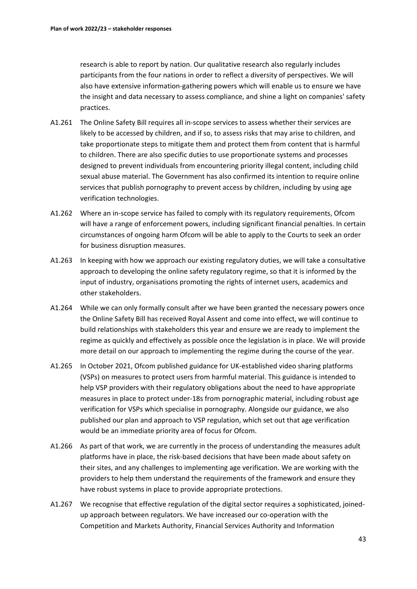research is able to report by nation. Our qualitative research also regularly includes participants from the four nations in order to reflect a diversity of perspectives. We will also have extensive information-gathering powers which will enable us to ensure we have the insight and data necessary to assess compliance, and shine a light on companies' safety practices.

- A1.261 The Online Safety Bill requires all in-scope services to assess whether their services are likely to be accessed by children, and if so, to assess risks that may arise to children, and take proportionate steps to mitigate them and protect them from content that is harmful to children. There are also specific duties to use proportionate systems and processes designed to prevent individuals from encountering priority illegal content, including child sexual abuse material. The Government has also confirmed its intention to require online services that publish pornography to prevent access by children, including by using age verification technologies.
- A1.262 Where an in-scope service has failed to comply with its regulatory requirements, Ofcom will have a range of enforcement powers, including significant financial penalties. In certain circumstances of ongoing harm Ofcom will be able to apply to the Courts to seek an order for business disruption measures.
- A1.263 In keeping with how we approach our existing regulatory duties, we will take a consultative approach to developing the online safety regulatory regime, so that it is informed by the input of industry, organisations promoting the rights of internet users, academics and other stakeholders.
- A1.264 While we can only formally consult after we have been granted the necessary powers once the Online Safety Bill has received Royal Assent and come into effect, we will continue to build relationships with stakeholders this year and ensure we are ready to implement the regime as quickly and effectively as possible once the legislation is in place. We will provide more detail on our approach to implementing the regime during the course of the year.
- A1.265 In October 2021, Ofcom published guidance for UK-established video sharing platforms (VSPs) on measures to protect users from harmful material. This guidance is intended to help VSP providers with their regulatory obligations about the need to have appropriate measures in place to protect under-18s from pornographic material, including robust age verification for VSPs which specialise in pornography. Alongside our guidance, we also published our plan and approach to VSP regulation, which set out that age verification would be an immediate priority area of focus for Ofcom.
- A1.266 As part of that work, we are currently in the process of understanding the measures adult platforms have in place, the risk-based decisions that have been made about safety on their sites, and any challenges to implementing age verification. We are working with the providers to help them understand the requirements of the framework and ensure they have robust systems in place to provide appropriate protections.
- A1.267 We recognise that effective regulation of the digital sector requires a sophisticated, joinedup approach between regulators. We have increased our co-operation with the Competition and Markets Authority, Financial Services Authority and Information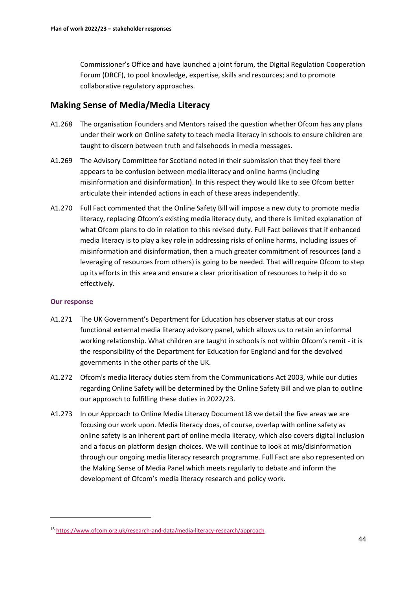Commissioner's Office and have launched a joint forum, the Digital Regulation Cooperation Forum (DRCF), to pool knowledge, expertise, skills and resources; and to promote collaborative regulatory approaches.

# **Making Sense of Media/Media Literacy**

- A1.268 The organisation Founders and Mentors raised the question whether Ofcom has any plans under their work on Online safety to teach media literacy in schools to ensure children are taught to discern between truth and falsehoods in media messages.
- A1.269 The Advisory Committee for Scotland noted in their submission that they feel there appears to be confusion between media literacy and online harms (including misinformation and disinformation). In this respect they would like to see Ofcom better articulate their intended actions in each of these areas independently.
- A1.270 Full Fact commented that the Online Safety Bill will impose a new duty to promote media literacy, replacing Ofcom's existing media literacy duty, and there is limited explanation of what Ofcom plans to do in relation to this revised duty. Full Fact believes that if enhanced media literacy is to play a key role in addressing risks of online harms, including issues of misinformation and disinformation, then a much greater commitment of resources (and a leveraging of resources from others) is going to be needed. That will require Ofcom to step up its efforts in this area and ensure a clear prioritisation of resources to help it do so effectively.

- A1.271 The UK Government's Department for Education has observer status at our cross functional external media literacy advisory panel, which allows us to retain an informal working relationship. What children are taught in schools is not within Ofcom's remit - it is the responsibility of the Department for Education for England and for the devolved governments in the other parts of the UK.
- A1.272 Ofcom's media literacy duties stem from the Communications Act 2003, while our duties regarding Online Safety will be determined by the Online Safety Bill and we plan to outline our approach to fulfilling these duties in 2022/23.
- A1.273 In our Approach to Online Media Literacy Document[18](#page-44-0) we detail the five areas we are focusing our work upon. Media literacy does, of course, overlap with online safety as online safety is an inherent part of online media literacy, which also covers digital inclusion and a focus on platform design choices. We will continue to look at mis/disinformation through our ongoing media literacy research programme. Full Fact are also represented on the Making Sense of Media Panel which meets regularly to debate and inform the development of Ofcom's media literacy research and policy work.

<span id="page-44-0"></span><sup>18</sup> <https://www.ofcom.org.uk/research-and-data/media-literacy-research/approach>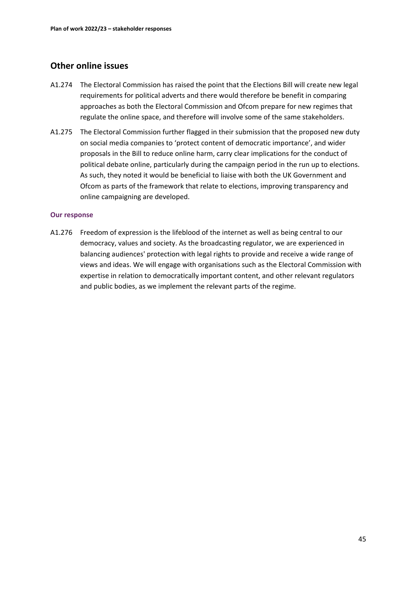# **Other online issues**

- A1.274 The Electoral Commission has raised the point that the Elections Bill will create new legal requirements for political adverts and there would therefore be benefit in comparing approaches as both the Electoral Commission and Ofcom prepare for new regimes that regulate the online space, and therefore will involve some of the same stakeholders.
- A1.275 The Electoral Commission further flagged in their submission that the proposed new duty on social media companies to 'protect content of democratic importance', and wider proposals in the Bill to reduce online harm, carry clear implications for the conduct of political debate online, particularly during the campaign period in the run up to elections. As such, they noted it would be beneficial to liaise with both the UK Government and Ofcom as parts of the framework that relate to elections, improving transparency and online campaigning are developed.

### **Our response**

A1.276 Freedom of expression is the lifeblood of the internet as well as being central to our democracy, values and society. As the broadcasting regulator, we are experienced in balancing audiences' protection with legal rights to provide and receive a wide range of views and ideas. We will engage with organisations such as the Electoral Commission with expertise in relation to democratically important content, and other relevant regulators and public bodies, as we implement the relevant parts of the regime.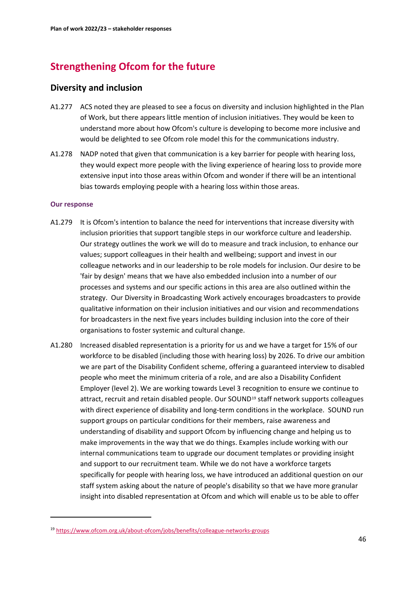# **Strengthening Ofcom for the future**

# **Diversity and inclusion**

- A1.277 ACS noted they are pleased to see a focus on diversity and inclusion highlighted in the Plan of Work, but there appears little mention of inclusion initiatives. They would be keen to understand more about how Ofcom's culture is developing to become more inclusive and would be delighted to see Ofcom role model this for the communications industry.
- A1.278 NADP noted that given that communication is a key barrier for people with hearing loss, they would expect more people with the living experience of hearing loss to provide more extensive input into those areas within Ofcom and wonder if there will be an intentional bias towards employing people with a hearing loss within those areas.

- A1.279 It is Ofcom's intention to balance the need for interventions that increase diversity with inclusion priorities that support tangible steps in our workforce culture and leadership. Our strategy outlines the work we will do to measure and track inclusion, to enhance our values; support colleagues in their health and wellbeing; support and invest in our colleague networks and in our leadership to be role models for inclusion. Our desire to be 'fair by design' means that we have also embedded inclusion into a number of our processes and systems and our specific actions in this area are also outlined within the strategy. Our Diversity in Broadcasting Work actively encourages broadcasters to provide qualitative information on their inclusion initiatives and our vision and recommendations for broadcasters in the next five years includes building inclusion into the core of their organisations to foster systemic and cultural change.
- A1.280 Increased disabled representation is a priority for us and we have a target for 15% of our workforce to be disabled (including those with hearing loss) by 2026. To drive our ambition we are part of the Disability Confident scheme, offering a guaranteed interview to disabled people who meet the minimum criteria of a role, and are also a Disability Confident Employer (level 2). We are working towards Level 3 recognition to ensure we continue to attract, recruit and retain disabled people. Our SOUND<sup>[19](#page-46-0)</sup> staff network supports colleagues with direct experience of disability and long-term conditions in the workplace. SOUND run support groups on particular conditions for their members, raise awareness and understanding of disability and support Ofcom by influencing change and helping us to make improvements in the way that we do things. Examples include working with our internal communications team to upgrade our document templates or providing insight and support to our recruitment team. While we do not have a workforce targets specifically for people with hearing loss, we have introduced an additional question on our staff system asking about the nature of people's disability so that we have more granular insight into disabled representation at Ofcom and which will enable us to be able to offer

<span id="page-46-0"></span><sup>19</sup> <https://www.ofcom.org.uk/about-ofcom/jobs/benefits/colleague-networks-groups>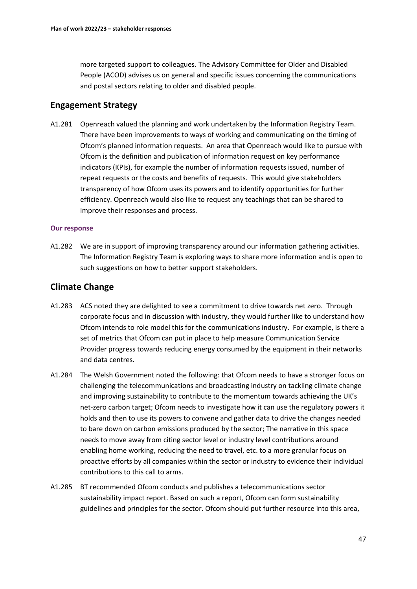more targeted support to colleagues. The Advisory Committee for Older and Disabled People (ACOD) advises us on general and specific issues concerning the communications and postal sectors relating to older and disabled people.

# **Engagement Strategy**

A1.281 Openreach valued the planning and work undertaken by the Information Registry Team. There have been improvements to ways of working and communicating on the timing of Ofcom's planned information requests. An area that Openreach would like to pursue with Ofcom is the definition and publication of information request on key performance indicators (KPIs), for example the number of information requests issued, number of repeat requests or the costs and benefits of requests. This would give stakeholders transparency of how Ofcom uses its powers and to identify opportunities for further efficiency. Openreach would also like to request any teachings that can be shared to improve their responses and process.

### **Our response**

A1.282 We are in support of improving transparency around our information gathering activities. The Information Registry Team is exploring ways to share more information and is open to such suggestions on how to better support stakeholders.

# **Climate Change**

- A1.283 ACS noted they are delighted to see a commitment to drive towards net zero. Through corporate focus and in discussion with industry, they would further like to understand how Ofcom intends to role model this for the communications industry. For example, is there a set of metrics that Ofcom can put in place to help measure Communication Service Provider progress towards reducing energy consumed by the equipment in their networks and data centres.
- A1.284 The Welsh Government noted the following: that Ofcom needs to have a stronger focus on challenging the telecommunications and broadcasting industry on tackling climate change and improving sustainability to contribute to the momentum towards achieving the UK's net-zero carbon target; Ofcom needs to investigate how it can use the regulatory powers it holds and then to use its powers to convene and gather data to drive the changes needed to bare down on carbon emissions produced by the sector; The narrative in this space needs to move away from citing sector level or industry level contributions around enabling home working, reducing the need to travel, etc. to a more granular focus on proactive efforts by all companies within the sector or industry to evidence their individual contributions to this call to arms.
- A1.285 BT recommended Ofcom conducts and publishes a telecommunications sector sustainability impact report. Based on such a report, Ofcom can form sustainability guidelines and principles for the sector. Ofcom should put further resource into this area,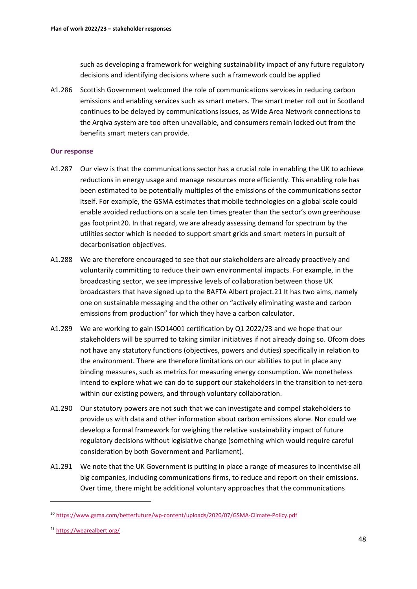such as developing a framework for weighing sustainability impact of any future regulatory decisions and identifying decisions where such a framework could be applied

A1.286 Scottish Government welcomed the role of communications services in reducing carbon emissions and enabling services such as smart meters. The smart meter roll out in Scotland continues to be delayed by communications issues, as Wide Area Network connections to the Arqiva system are too often unavailable, and consumers remain locked out from the benefits smart meters can provide.

- A1.287 Our view is that the communications sector has a crucial role in enabling the UK to achieve reductions in energy usage and manage resources more efficiently. This enabling role has been estimated to be potentially multiples of the emissions of the communications sector itself. For example, the GSMA estimates that mobile technologies on a global scale could enable avoided reductions on a scale ten times greater than the sector's own greenhouse gas footprint[20.](#page-48-0) In that regard, we are already assessing demand for spectrum by the utilities sector which is needed to support smart grids and smart meters in pursuit of decarbonisation objectives.
- A1.288 We are therefore encouraged to see that our stakeholders are already proactively and voluntarily committing to reduce their own environmental impacts. For example, in the broadcasting sector, we see impressive levels of collaboration between those UK broadcasters that have signed up to the BAFTA Albert project.[21](#page-48-1) It has two aims, namely one on sustainable messaging and the other on "actively eliminating waste and carbon emissions from production" for which they have a carbon calculator.
- A1.289 We are working to gain ISO14001 certification by Q1 2022/23 and we hope that our stakeholders will be spurred to taking similar initiatives if not already doing so. Ofcom does not have any statutory functions (objectives, powers and duties) specifically in relation to the environment. There are therefore limitations on our abilities to put in place any binding measures, such as metrics for measuring energy consumption. We nonetheless intend to explore what we can do to support our stakeholders in the transition to net-zero within our existing powers, and through voluntary collaboration.
- A1.290 Our statutory powers are not such that we can investigate and compel stakeholders to provide us with data and other information about carbon emissions alone. Nor could we develop a formal framework for weighing the relative sustainability impact of future regulatory decisions without legislative change (something which would require careful consideration by both Government and Parliament).
- A1.291 We note that the UK Government is putting in place a range of measures to incentivise all big companies, including communications firms, to reduce and report on their emissions. Over time, there might be additional voluntary approaches that the communications

<span id="page-48-0"></span><sup>20</sup> <https://www.gsma.com/betterfuture/wp-content/uploads/2020/07/GSMA-Climate-Policy.pdf>

<span id="page-48-1"></span><sup>21</sup> <https://wearealbert.org/>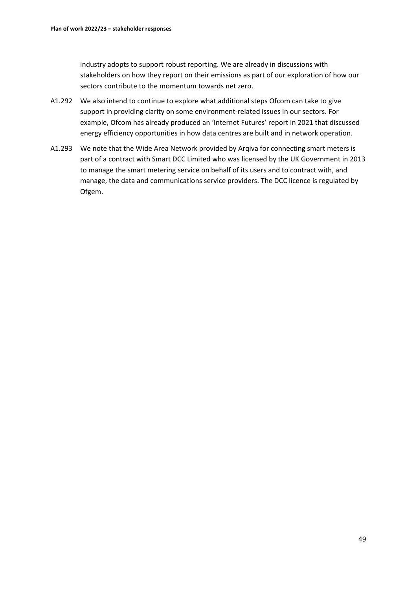industry adopts to support robust reporting. We are already in discussions with stakeholders on how they report on their emissions as part of our exploration of how our sectors contribute to the momentum towards net zero.

- A1.292 We also intend to continue to explore what additional steps Ofcom can take to give support in providing clarity on some environment-related issues in our sectors. For example, Ofcom has already produced an 'Internet Futures' report in 2021 that discussed energy efficiency opportunities in how data centres are built and in network operation.
- A1.293 We note that the Wide Area Network provided by Arqiva for connecting smart meters is part of a contract with Smart DCC Limited who was licensed by the UK Government in 2013 to manage the smart metering service on behalf of its users and to contract with, and manage, the data and communications service providers. The DCC licence is regulated by Ofgem.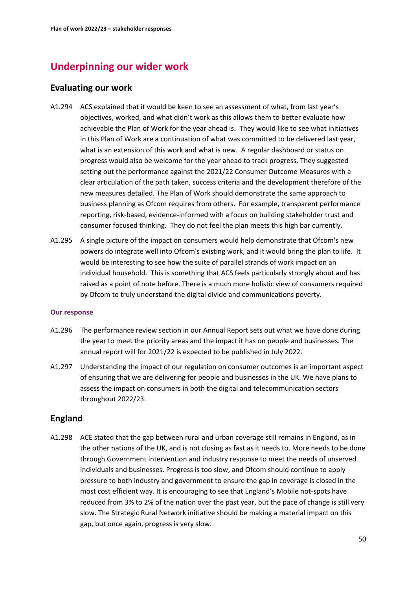# **Underpinning our wider work**

# **Evaluating our work**

- A1.294 ACS explained that it would be keen to see an assessment of what, from last year's objectives, worked, and what didn't work as this allows them to better evaluate how achievable the Plan of Work for the year ahead is. They would like to see what initiatives in this Plan of Work are a continuation of what was committed to be delivered last year, what is an extension of this work and what is new. A regular dashboard or status on progress would also be welcome for the year ahead to track progress. They suggested setting out the performance against the 2021/22 Consumer Outcome Measures with a clear articulation of the path taken, success criteria and the development therefore of the new measures detailed. The Plan of Work should demonstrate the same approach to business planning as Ofcom requires from others.  For example, transparent performance reporting, risk-based, evidence-informed with a focus on building stakeholder trust and consumer focused thinking. They do not feel the plan meets this high bar currently.
- A1.295 A single picture of the impact on consumers would help demonstrate that Ofcom's new powers do integrate well into Ofcom's existing work, and it would bring the plan to life. It would be interesting to see how the suite of parallel strands of work impact on an individual household. This is something that ACS feels particularly strongly about and has raised as a point of note before. There is a much more holistic view of consumers required by Ofcom to truly understand the digital divide and communications poverty.

### **Our response**

- A1.296 The performance review section in our Annual Report sets out what we have done during the year to meet the priority areas and the impact it has on people and businesses. The annual report will for 2021/22 is expected to be published in July 2022.
- A1.297 Understanding the impact of our regulation on consumer outcomes is an important aspect of ensuring that we are delivering for people and businesses in the UK. We have plans to assess the impact on consumers in both the digital and telecommunication sectors throughout 2022/23.

# **England**

A1.298 ACE stated that the gap between rural and urban coverage still remains in England, as in the other nations of the UK, and is not closing as fast as it needs to. More needs to be done through Government intervention and industry response to meet the needs of unserved individuals and businesses. Progress is too slow, and Ofcom should continue to apply pressure to both industry and government to ensure the gap in coverage is closed in the most cost efficient way. It is encouraging to see that England's Mobile not-spots have reduced from 3% to 2% of the nation over the past year, but the pace of change is still very slow. The Strategic Rural Network initiative should be making a material impact on this gap, but once again, progress is very slow.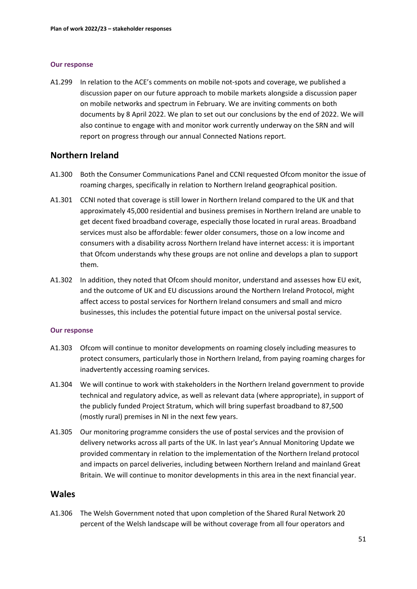### **Our response**

A1.299 In relation to the ACE's comments on mobile not-spots and coverage, we published a discussion paper on our future approach to mobile markets alongside a discussion paper on mobile networks and spectrum in February. We are inviting comments on both documents by 8 April 2022. We plan to set out our conclusions by the end of 2022. We will also continue to engage with and monitor work currently underway on the SRN and will report on progress through our annual Connected Nations report.

### **Northern Ireland**

- A1.300 Both the Consumer Communications Panel and CCNI requested Ofcom monitor the issue of roaming charges, specifically in relation to Northern Ireland geographical position.
- A1.301 CCNI noted that coverage is still lower in Northern Ireland compared to the UK and that approximately 45,000 residential and business premises in Northern Ireland are unable to get decent fixed broadband coverage, especially those located in rural areas. Broadband services must also be affordable: fewer older consumers, those on a low income and consumers with a disability across Northern Ireland have internet access: it is important that Ofcom understands why these groups are not online and develops a plan to support them.
- A1.302 In addition, they noted that Ofcom should monitor, understand and assesses how EU exit, and the outcome of UK and EU discussions around the Northern Ireland Protocol, might affect access to postal services for Northern Ireland consumers and small and micro businesses, this includes the potential future impact on the universal postal service.

### **Our response**

- A1.303 Ofcom will continue to monitor developments on roaming closely including measures to protect consumers, particularly those in Northern Ireland, from paying roaming charges for inadvertently accessing roaming services.
- A1.304 We will continue to work with stakeholders in the Northern Ireland government to provide technical and regulatory advice, as well as relevant data (where appropriate), in support of the publicly funded Project Stratum, which will bring superfast broadband to 87,500 (mostly rural) premises in NI in the next few years.
- A1.305 Our monitoring programme considers the use of postal services and the provision of delivery networks across all parts of the UK. In last year's Annual Monitoring Update we provided commentary in relation to the implementation of the Northern Ireland protocol and impacts on parcel deliveries, including between Northern Ireland and mainland Great Britain. We will continue to monitor developments in this area in the next financial year.

# **Wales**

A1.306 The Welsh Government noted that upon completion of the Shared Rural Network 20 percent of the Welsh landscape will be without coverage from all four operators and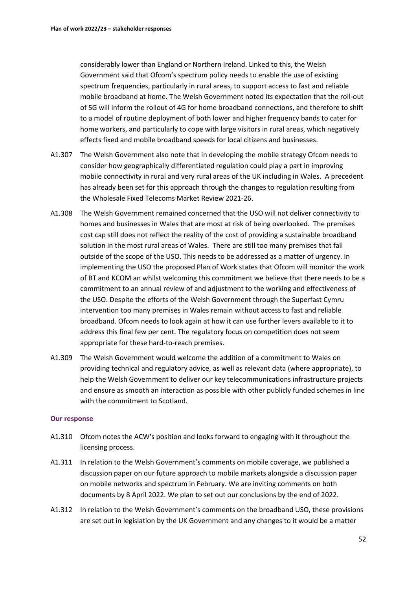considerably lower than England or Northern Ireland. Linked to this, the Welsh Government said that Ofcom's spectrum policy needs to enable the use of existing spectrum frequencies, particularly in rural areas, to support access to fast and reliable mobile broadband at home. The Welsh Government noted its expectation that the roll-out of 5G will inform the rollout of 4G for home broadband connections, and therefore to shift to a model of routine deployment of both lower and higher frequency bands to cater for home workers, and particularly to cope with large visitors in rural areas, which negatively effects fixed and mobile broadband speeds for local citizens and businesses.

- A1.307 The Welsh Government also note that in developing the mobile strategy Ofcom needs to consider how geographically differentiated regulation could play a part in improving mobile connectivity in rural and very rural areas of the UK including in Wales. A precedent has already been set for this approach through the changes to regulation resulting from the Wholesale Fixed Telecoms Market Review 2021-26.
- A1.308 The Welsh Government remained concerned that the USO will not deliver connectivity to homes and businesses in Wales that are most at risk of being overlooked. The premises cost cap still does not reflect the reality of the cost of providing a sustainable broadband solution in the most rural areas of Wales. There are still too many premises that fall outside of the scope of the USO. This needs to be addressed as a matter of urgency. In implementing the USO the proposed Plan of Work states that Ofcom will monitor the work of BT and KCOM an whilst welcoming this commitment we believe that there needs to be a commitment to an annual review of and adjustment to the working and effectiveness of the USO. Despite the efforts of the Welsh Government through the Superfast Cymru intervention too many premises in Wales remain without access to fast and reliable broadband. Ofcom needs to look again at how it can use further levers available to it to address this final few per cent. The regulatory focus on competition does not seem appropriate for these hard-to-reach premises.
- A1.309 The Welsh Government would welcome the addition of a commitment to Wales on providing technical and regulatory advice, as well as relevant data (where appropriate), to help the Welsh Government to deliver our key telecommunications infrastructure projects and ensure as smooth an interaction as possible with other publicly funded schemes in line with the commitment to Scotland.

- A1.310 Ofcom notes the ACW's position and looks forward to engaging with it throughout the licensing process.
- A1.311 In relation to the Welsh Government's comments on mobile coverage, we published a discussion paper on our future approach to mobile markets alongside a discussion paper on mobile networks and spectrum in February. We are inviting comments on both documents by 8 April 2022. We plan to set out our conclusions by the end of 2022.
- A1.312 In relation to the Welsh Government's comments on the broadband USO, these provisions are set out in legislation by the UK Government and any changes to it would be a matter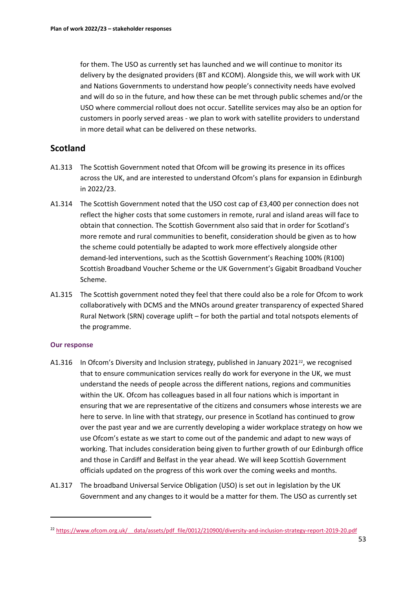for them. The USO as currently set has launched and we will continue to monitor its delivery by the designated providers (BT and KCOM). Alongside this, we will work with UK and Nations Governments to understand how people's connectivity needs have evolved and will do so in the future, and how these can be met through public schemes and/or the USO where commercial rollout does not occur. Satellite services may also be an option for customers in poorly served areas - we plan to work with satellite providers to understand in more detail what can be delivered on these networks.

# **Scotland**

- A1.313 The Scottish Government noted that Ofcom will be growing its presence in its offices across the UK, and are interested to understand Ofcom's plans for expansion in Edinburgh in 2022/23.
- A1.314 The Scottish Government noted that the USO cost cap of £3,400 per connection does not reflect the higher costs that some customers in remote, rural and island areas will face to obtain that connection. The Scottish Government also said that in order for Scotland's more remote and rural communities to benefit, consideration should be given as to how the scheme could potentially be adapted to work more effectively alongside other demand-led interventions, such as the Scottish Government's Reaching 100% (R100) Scottish Broadband Voucher Scheme or the UK Government's Gigabit Broadband Voucher Scheme.
- A1.315 The Scottish government noted they feel that there could also be a role for Ofcom to work collaboratively with DCMS and the MNOs around greater transparency of expected Shared Rural Network (SRN) coverage uplift – for both the partial and total notspots elements of the programme.

- A1.316 In Ofcom's Diversity and Inclusion strategy, published in January 2021<sup>22</sup>, we recognised that to ensure communication services really do work for everyone in the UK, we must understand the needs of people across the different nations, regions and communities within the UK. Ofcom has colleagues based in all four nations which is important in ensuring that we are representative of the citizens and consumers whose interests we are here to serve. In line with that strategy, our presence in Scotland has continued to grow over the past year and we are currently developing a wider workplace strategy on how we use Ofcom's estate as we start to come out of the pandemic and adapt to new ways of working. That includes consideration being given to further growth of our Edinburgh office and those in Cardiff and Belfast in the year ahead. We will keep Scottish Government officials updated on the progress of this work over the coming weeks and months.
- A1.317 The broadband Universal Service Obligation (USO) is set out in legislation by the UK Government and any changes to it would be a matter for them. The USO as currently set

<span id="page-53-0"></span><sup>22</sup> [https://www.ofcom.org.uk/\\_\\_data/assets/pdf\\_file/0012/210900/diversity-and-inclusion-strategy-report-2019-20.pdf](https://www.ofcom.org.uk/__data/assets/pdf_file/0012/210900/diversity-and-inclusion-strategy-report-2019-20.pdf)